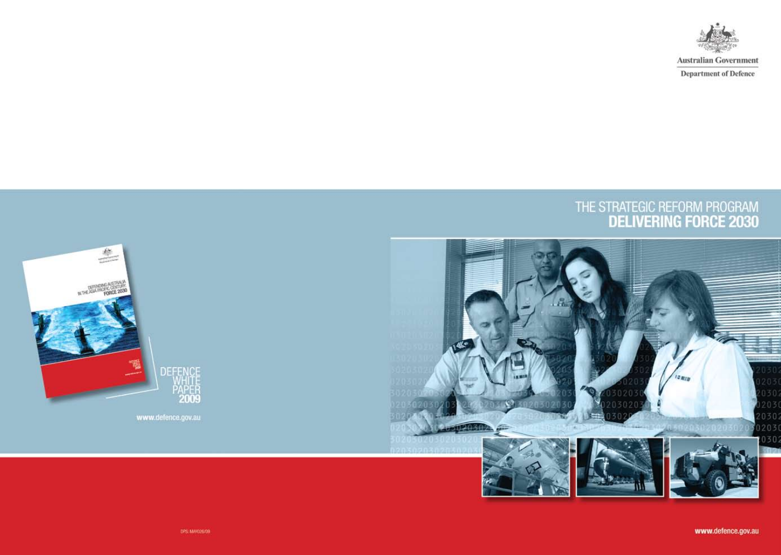

**Australian Government** 

**Department of Defence** 

# THE STRATEGIC REFORM PROGRAM<br>**DELIVERING FORCE 2030**



www.defence.gov.au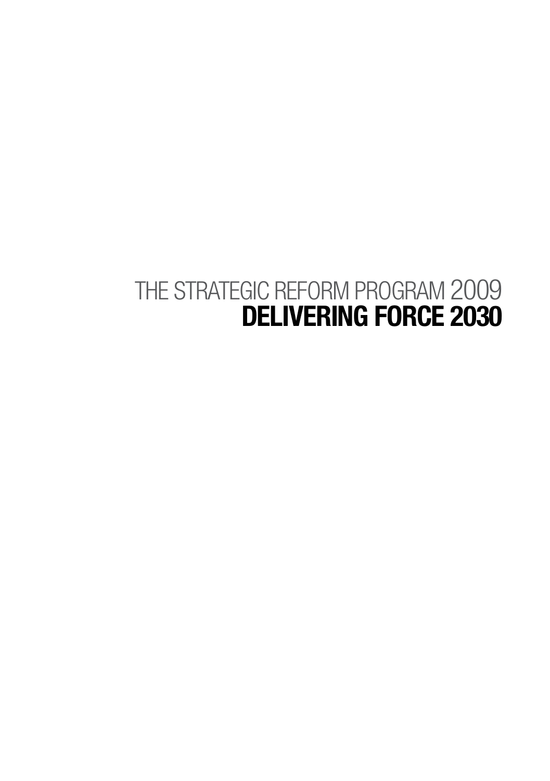# THE STRATEGIC REFORM PROGRAM 2009 **Delivering Force 2030**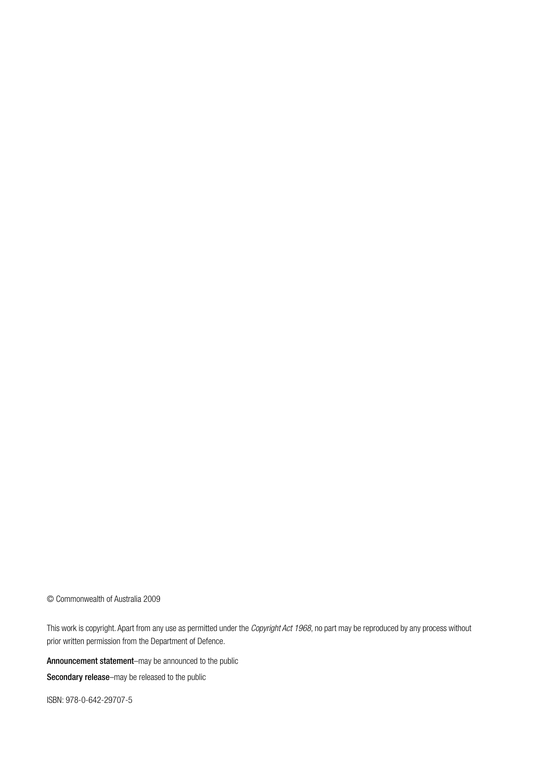© Commonwealth of Australia 2009

This work is copyright. Apart from any use as permitted under the *Copyright Act 1968*, no part may be reproduced by any process without prior written permission from the Department of Defence.

Announcement statement–may be announced to the public

Secondary release-may be released to the public

ISBN: 978-0-642-29707-5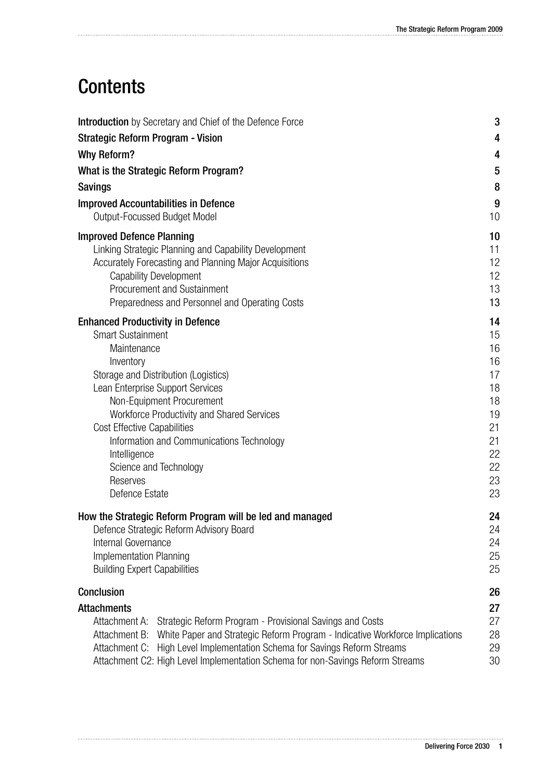# **Contents**

| Introduction by Secretary and Chief of the Defence Force                                                                                                                                                                                                                                                                                                                                                          | 3                                                                                |
|-------------------------------------------------------------------------------------------------------------------------------------------------------------------------------------------------------------------------------------------------------------------------------------------------------------------------------------------------------------------------------------------------------------------|----------------------------------------------------------------------------------|
| <b>Strategic Reform Program - Vision</b>                                                                                                                                                                                                                                                                                                                                                                          | 4                                                                                |
| <b>Why Reform?</b>                                                                                                                                                                                                                                                                                                                                                                                                | 4                                                                                |
| What is the Strategic Reform Program?                                                                                                                                                                                                                                                                                                                                                                             | $5\phantom{.0}$                                                                  |
| <b>Savings</b>                                                                                                                                                                                                                                                                                                                                                                                                    | 8                                                                                |
| <b>Improved Accountabilities in Defence</b><br>Output-Focussed Budget Model                                                                                                                                                                                                                                                                                                                                       | 9<br>10                                                                          |
| <b>Improved Defence Planning</b><br>Linking Strategic Planning and Capability Development<br>Accurately Forecasting and Planning Major Acquisitions<br>Capability Development<br>Procurement and Sustainment<br>Preparedness and Personnel and Operating Costs                                                                                                                                                    | 10<br>11<br>12<br>12<br>13.<br>13                                                |
| <b>Enhanced Productivity in Defence</b><br><b>Smart Sustainment</b><br>Maintenance<br>Inventory<br>Storage and Distribution (Logistics)<br>Lean Enterprise Support Services<br>Non-Equipment Procurement<br>Workforce Productivity and Shared Services<br><b>Cost Effective Capabilities</b><br>Information and Communications Technology<br>Intelligence<br>Science and Technology<br>Reserves<br>Defence Estate | 14<br>15<br>16<br>16<br>17<br>18<br>18<br>19<br>21<br>21<br>22<br>22<br>23<br>23 |
| How the Strategic Reform Program will be led and managed<br>Defence Strategic Reform Advisory Board<br>Internal Governance<br>Implementation Planning<br><b>Building Expert Capabilities</b>                                                                                                                                                                                                                      | 24<br>24<br>24<br>25<br>25                                                       |
| Conclusion                                                                                                                                                                                                                                                                                                                                                                                                        | 26                                                                               |
| <b>Attachments</b><br>Attachment A: Strategic Reform Program - Provisional Savings and Costs<br>White Paper and Strategic Reform Program - Indicative Workforce Implications<br>Attachment B:<br>Attachment C: High Level Implementation Schema for Savings Reform Streams<br>Attachment C2: High Level Implementation Schema for non-Savings Reform Streams                                                      | 27<br>27<br>28<br>29<br>30                                                       |

. . . . . .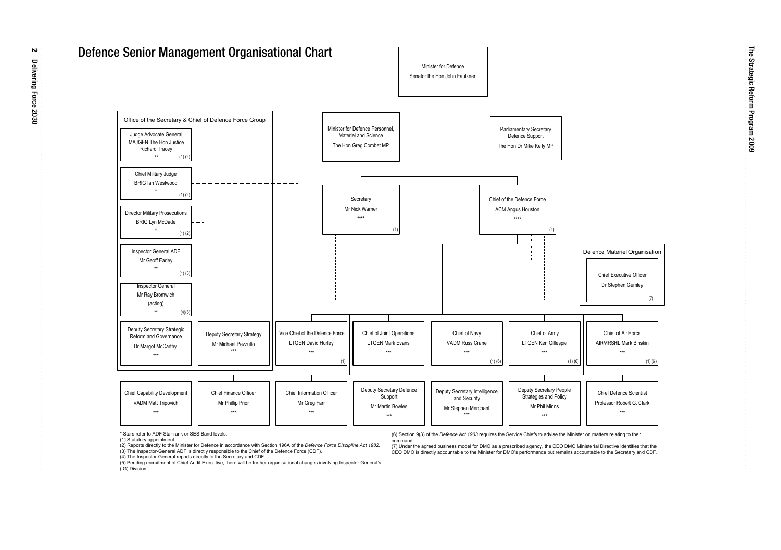

\* Stars refer to ADF Star rank or SES Band levels.

(1) Statutory appointment.

(2) Reports directly to the Minister for Defence in accordance with Section 196A of the *Defence Force Discipline Act 1982.*

(3) The Inspector-General ADF is directly responsible to the Chief of the Defence Force (CDF).

(4) The Inspector-General reports directly to the Secretary and CDF.

(5) Pending recruitment of Chief Audit Executive, there will be further organisational changes involving Inspector General's (IG) Division.

(6) Section 9(3) of the *Defence Act 1903* requires the Service Chiefs to advise the Minister on matters relating to their command.

 (7) Under the agreed business model for DMO as a prescribed agency, the CEO DMO Ministerial Directive identifies that the CEO DMO is directly accountable to the Minister for DMO's performance but remains accountable to the Secretary and CDF.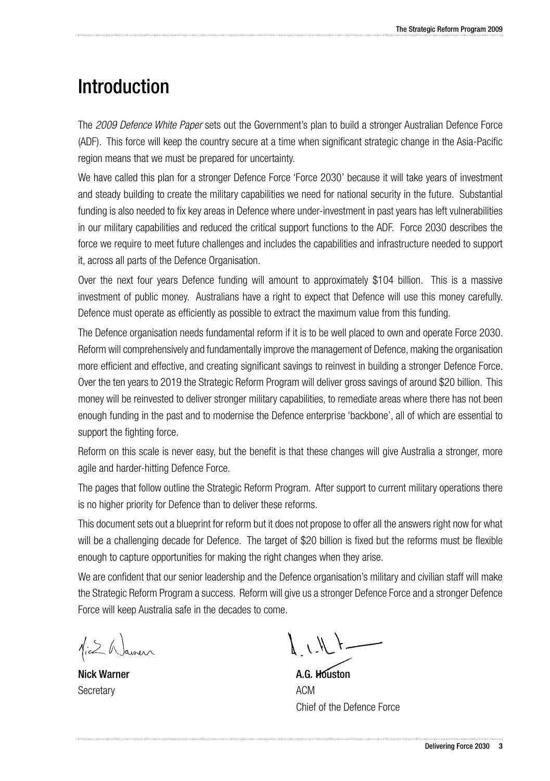# **Introduction**

The *2009 Defence White Paper* sets out the Government's plan to build a stronger Australian Defence Force (ADF). This force will keep the country secure at a time when significant strategic change in the Asia-Pacific region means that we must be prepared for uncertainty.

We have called this plan for a stronger Defence Force 'Force 2030' because it will take years of investment and steady building to create the military capabilities we need for national security in the future. Substantial funding is also needed to fix key areas in Defence where under-investment in past years has left vulnerabilities in our military capabilities and reduced the critical support functions to the ADF. Force 2030 describes the force we require to meet future challenges and includes the capabilities and infrastructure needed to support it, across all parts of the Defence Organisation.

Over the next four years Defence funding will amount to approximately \$104 billion. This is a massive investment of public money. Australians have a right to expect that Defence will use this money carefully. Defence must operate as efficiently as possible to extract the maximum value from this funding.

The Defence organisation needs fundamental reform if it is to be well placed to own and operate Force 2030. Reform will comprehensively and fundamentally improve the management of Defence, making the organisation more efficient and effective, and creating significant savings to reinvest in building a stronger Defence Force. Over the ten years to 2019 the Strategic Reform Program will deliver gross savings of around \$20 billion. This money will be reinvested to deliver stronger military capabilities, to remediate areas where there has not been enough funding in the past and to modernise the Defence enterprise 'backbone', all of which are essential to support the fighting force.

Reform on this scale is never easy, but the benefit is that these changes will give Australia a stronger, more agile and harder-hitting Defence Force.

The pages that follow outline the Strategic Reform Program. After support to current military operations there is no higher priority for Defence than to deliver these reforms.

This document sets out a blueprint for reform but it does not propose to offer all the answers right now for what will be a challenging decade for Defence. The target of \$20 billion is fixed but the reforms must be flexible enough to capture opportunities for making the right changes when they arise.

We are confident that our senior leadership and the Defence organisation's military and civilian staff will make the Strategic Reform Program a success. Reform will give us a stronger Defence Force and a stronger Defence Force will keep Australia safe in the decades to come.

Nick Warner **Secretary** 

 $\bigwedge$   $\bigwedge$   $\bigwedge$   $\bigwedge$ 

A.G. Houston ACM Chief of the Defence Force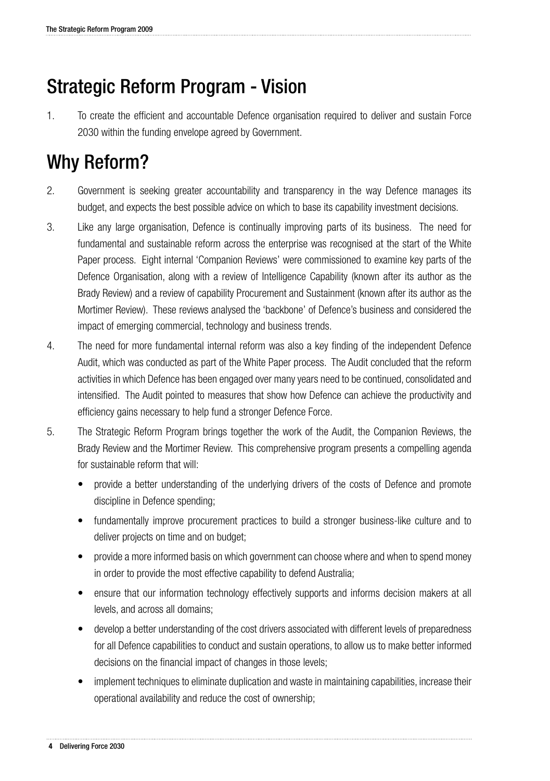# Strategic Reform Program - Vision

1. To create the efficient and accountable Defence organisation required to deliver and sustain Force 2030 within the funding envelope agreed by Government.

# Why Reform?

- 2. Government is seeking greater accountability and transparency in the way Defence manages its budget, and expects the best possible advice on which to base its capability investment decisions.
- 3. Like any large organisation, Defence is continually improving parts of its business. The need for fundamental and sustainable reform across the enterprise was recognised at the start of the White Paper process. Eight internal 'Companion Reviews' were commissioned to examine key parts of the Defence Organisation, along with a review of Intelligence Capability (known after its author as the Brady Review) and a review of capability Procurement and Sustainment (known after its author as the Mortimer Review). These reviews analysed the 'backbone' of Defence's business and considered the impact of emerging commercial, technology and business trends.
- 4. The need for more fundamental internal reform was also a key finding of the independent Defence Audit, which was conducted as part of the White Paper process. The Audit concluded that the reform activities in which Defence has been engaged over many years need to be continued, consolidated and intensified. The Audit pointed to measures that show how Defence can achieve the productivity and efficiency gains necessary to help fund a stronger Defence Force.
- 5. The Strategic Reform Program brings together the work of the Audit, the Companion Reviews, the Brady Review and the Mortimer Review. This comprehensive program presents a compelling agenda for sustainable reform that will:
	- provide a better understanding of the underlying drivers of the costs of Defence and promote discipline in Defence spending;
	- fundamentally improve procurement practices to build a stronger business-like culture and to deliver projects on time and on budget;
	- provide a more informed basis on which government can choose where and when to spend money in order to provide the most effective capability to defend Australia;
	- ensure that our information technology effectively supports and informs decision makers at all levels, and across all domains;
	- develop a better understanding of the cost drivers associated with different levels of preparedness for all Defence capabilities to conduct and sustain operations, to allow us to make better informed decisions on the financial impact of changes in those levels;
	- implement techniques to eliminate duplication and waste in maintaining capabilities, increase their operational availability and reduce the cost of ownership;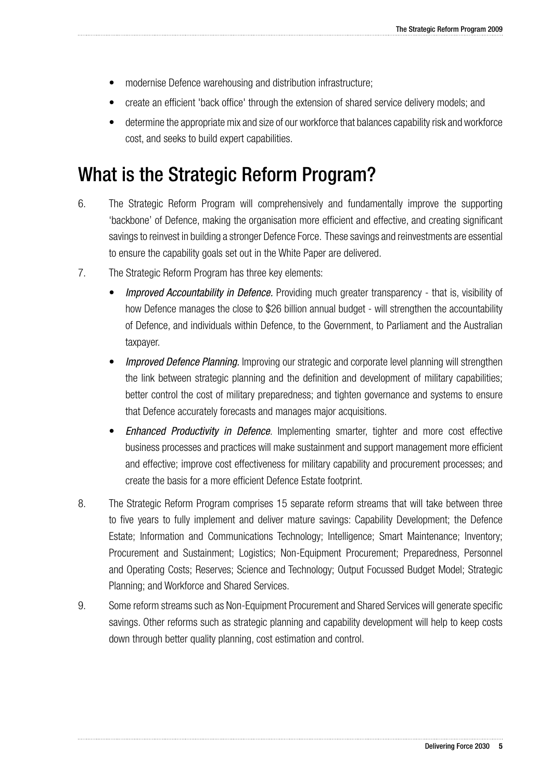- modernise Defence warehousing and distribution infrastructure;
- create an efficient 'back office' through the extension of shared service delivery models; and
- determine the appropriate mix and size of our workforce that balances capability risk and workforce cost, and seeks to build expert capabilities.

# What is the Strategic Reform Program?

- 6. The Strategic Reform Program will comprehensively and fundamentally improve the supporting 'backbone' of Defence, making the organisation more efficient and effective, and creating significant savings to reinvest in building a stronger Defence Force. These savings and reinvestments are essential to ensure the capability goals set out in the White Paper are delivered.
- 7. The Strategic Reform Program has three key elements:
	- **Improved Accountability in Defence.** Providing much greater transparency that is, visibility of how Defence manages the close to \$26 billion annual budget - will strengthen the accountability of Defence, and individuals within Defence, to the Government, to Parliament and the Australian taxpayer.
	- **Improved Defence Planning.** Improving our strategic and corporate level planning will strengthen the link between strategic planning and the definition and development of military capabilities; better control the cost of military preparedness; and tighten governance and systems to ensure that Defence accurately forecasts and manages major acquisitions.
	- **Enhanced Productivity in Defence.** Implementing smarter, tighter and more cost effective business processes and practices will make sustainment and support management more efficient and effective; improve cost effectiveness for military capability and procurement processes; and create the basis for a more efficient Defence Estate footprint.
- 8. The Strategic Reform Program comprises 15 separate reform streams that will take between three to five years to fully implement and deliver mature savings: Capability Development; the Defence Estate; Information and Communications Technology; Intelligence; Smart Maintenance; Inventory; Procurement and Sustainment; Logistics; Non-Equipment Procurement; Preparedness, Personnel and Operating Costs; Reserves; Science and Technology; Output Focussed Budget Model; Strategic Planning; and Workforce and Shared Services.
- 9. Some reform streams such as Non-Equipment Procurement and Shared Services will generate specific savings. Other reforms such as strategic planning and capability development will help to keep costs down through better quality planning, cost estimation and control.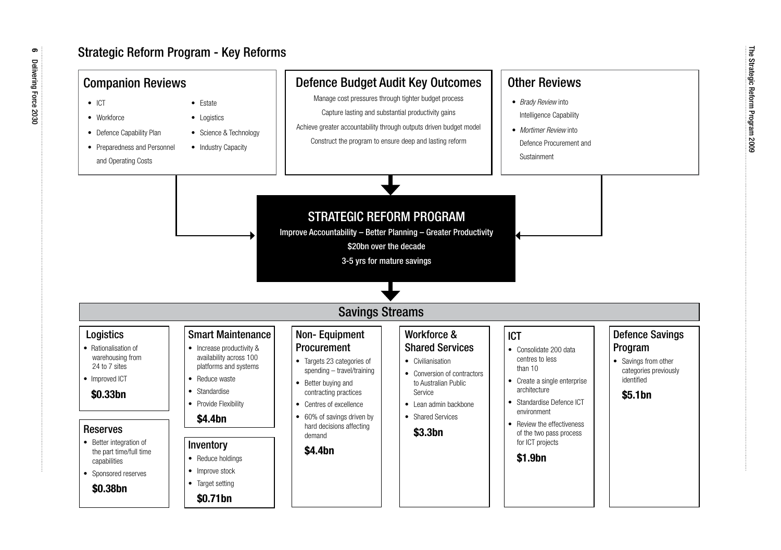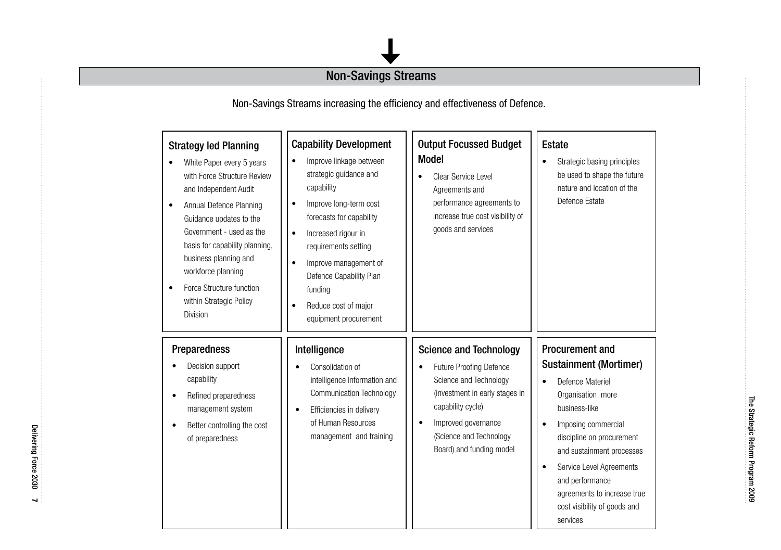### Non-Savings Streams

Non-Savings Streams increasing the efficiency and effectiveness of Defence.

| <b>Strategy led Planning</b><br>White Paper every 5 years<br>with Force Structure Review<br>and Independent Audit<br>Annual Defence Planning<br>$\bullet$<br>Guidance updates to the<br>Government - used as the<br>basis for capability planning,<br>business planning and<br>workforce planning<br>Force Structure function<br>within Strategic Policy<br>Division | <b>Capability Development</b><br>Improve linkage between<br>strategic guidance and<br>capability<br>Improve long-term cost<br>$\bullet$<br>forecasts for capability<br>Increased rigour in<br>$\bullet$<br>requirements setting<br>Improve management of<br>$\bullet$<br>Defence Capability Plan<br>funding<br>Reduce cost of major<br>٠<br>equipment procurement | <b>Output Focussed Budget</b><br><b>Model</b><br>Clear Service Level<br>$\bullet$<br>Agreements and<br>performance agreements to<br>increase true cost visibility of<br>goods and services                                    | Estate<br>Strategic basing principles<br>٠<br>be used to shape the future<br>nature and location of the<br>Defence Estate                                                                                                                                                                                                                                           |
|----------------------------------------------------------------------------------------------------------------------------------------------------------------------------------------------------------------------------------------------------------------------------------------------------------------------------------------------------------------------|-------------------------------------------------------------------------------------------------------------------------------------------------------------------------------------------------------------------------------------------------------------------------------------------------------------------------------------------------------------------|-------------------------------------------------------------------------------------------------------------------------------------------------------------------------------------------------------------------------------|---------------------------------------------------------------------------------------------------------------------------------------------------------------------------------------------------------------------------------------------------------------------------------------------------------------------------------------------------------------------|
| Preparedness<br>Decision support<br>capability<br>Refined preparedness<br>٠<br>management system<br>Better controlling the cost<br>٠<br>of preparedness                                                                                                                                                                                                              | Intelligence<br>Consolidation of<br>intelligence Information and<br><b>Communication Technology</b><br>Efficiencies in delivery<br>$\bullet$<br>of Human Resources<br>management and training                                                                                                                                                                     | <b>Science and Technology</b><br>Future Proofing Defence<br>٠<br>Science and Technology<br>(investment in early stages in<br>capability cycle)<br>Improved governance<br>(Science and Technology)<br>Board) and funding model | <b>Procurement and</b><br><b>Sustainment (Mortimer)</b><br>Defence Materiel<br>$\bullet$<br>Organisation more<br>business-like<br>Imposing commercial<br>$\bullet$<br>discipline on procurement<br>and sustainment processes<br>Service Level Agreements<br>$\bullet$<br>and performance<br>agreements to increase true<br>cost visibility of goods and<br>services |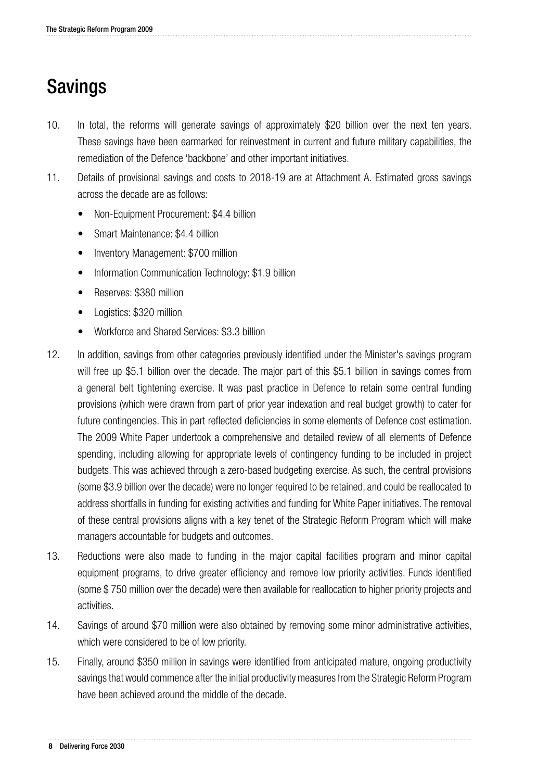# Savings

- 10. In total, the reforms will generate savings of approximately \$20 billion over the next ten years. These savings have been earmarked for reinvestment in current and future military capabilities, the remediation of the Defence 'backbone' and other important initiatives.
- 11. Details of provisional savings and costs to 2018-19 are at Attachment A. Estimated gross savings across the decade are as follows:
	- Non-Equipment Procurement: \$4.4 billion
	- Smart Maintenance: \$4.4 billion
	- Inventory Management: \$700 million
	- Information Communication Technology: \$1.9 billion
	- Reserves: \$380 million
	- Logistics: \$320 million
	- Workforce and Shared Services: \$3.3 billion
- 12. In addition, savings from other categories previously identified under the Minister's savings program will free up \$5.1 billion over the decade. The major part of this \$5.1 billion in savings comes from a general belt tightening exercise. It was past practice in Defence to retain some central funding provisions (which were drawn from part of prior year indexation and real budget growth) to cater for future contingencies. This in part reflected deficiencies in some elements of Defence cost estimation. The 2009 White Paper undertook a comprehensive and detailed review of all elements of Defence spending, including allowing for appropriate levels of contingency funding to be included in project budgets. This was achieved through a zero-based budgeting exercise. As such, the central provisions (some \$3.9 billion over the decade) were no longer required to be retained, and could be reallocated to address shortfalls in funding for existing activities and funding for White Paper initiatives. The removal of these central provisions aligns with a key tenet of the Strategic Reform Program which will make managers accountable for budgets and outcomes.
- 13. Reductions were also made to funding in the major capital facilities program and minor capital equipment programs, to drive greater efficiency and remove low priority activities. Funds identified (some \$ 750 million over the decade) were then available for reallocation to higher priority projects and activities.
- 14. Savings of around \$70 million were also obtained by removing some minor administrative activities, which were considered to be of low priority.
- 15. Finally, around \$350 million in savings were identified from anticipated mature, ongoing productivity savings that would commence after the initial productivity measures from the Strategic Reform Program have been achieved around the middle of the decade.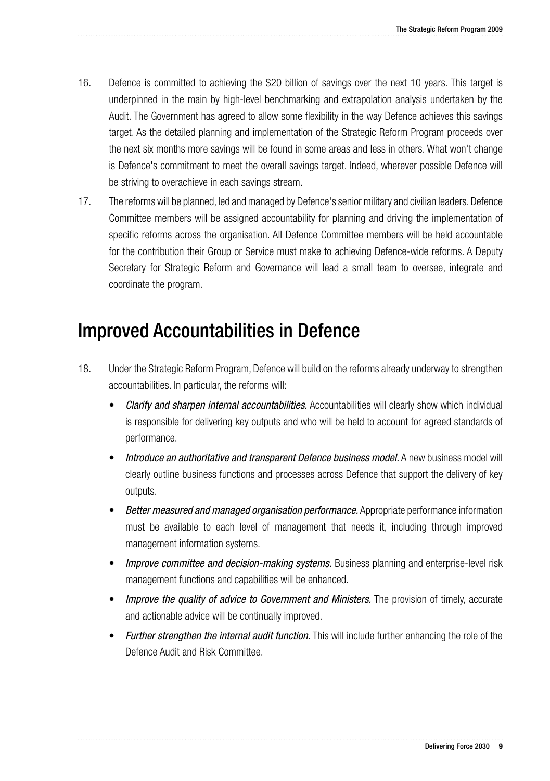- 16. Defence is committed to achieving the \$20 billion of savings over the next 10 years. This target is underpinned in the main by high-level benchmarking and extrapolation analysis undertaken by the Audit. The Government has agreed to allow some flexibility in the way Defence achieves this savings target. As the detailed planning and implementation of the Strategic Reform Program proceeds over the next six months more savings will be found in some areas and less in others. What won't change is Defence's commitment to meet the overall savings target. Indeed, wherever possible Defence will be striving to overachieve in each savings stream.
- 17. The reforms will be planned, led and managed by Defence's senior military and civilian leaders. Defence Committee members will be assigned accountability for planning and driving the implementation of specific reforms across the organisation. All Defence Committee members will be held accountable for the contribution their Group or Service must make to achieving Defence-wide reforms. A Deputy Secretary for Strategic Reform and Governance will lead a small team to oversee, integrate and coordinate the program.

## Improved Accountabilities in Defence

- 18. Under the Strategic Reform Program, Defence will build on the reforms already underway to strengthen accountabilities. In particular, the reforms will:
	- Clarify and sharpen internal accountabilities. Accountabilities will clearly show which individual is responsible for delivering key outputs and who will be held to account for agreed standards of performance.
	- *Introduce an authoritative and transparent Defence business model.* **A new business model will** clearly outline business functions and processes across Defence that support the delivery of key outputs.
	- **Better measured and managed organisation performance.** Appropriate performance information must be available to each level of management that needs it, including through improved management information systems.
	- *Improve committee and decision-making systems.* **Business planning and enterprise-level risk** management functions and capabilities will be enhanced.
	- **Improve the quality of advice to Government and Ministers.** The provision of timely, accurate and actionable advice will be continually improved.
	- **Further strengthen the internal audit function.** This will include further enhancing the role of the Defence Audit and Risk Committee.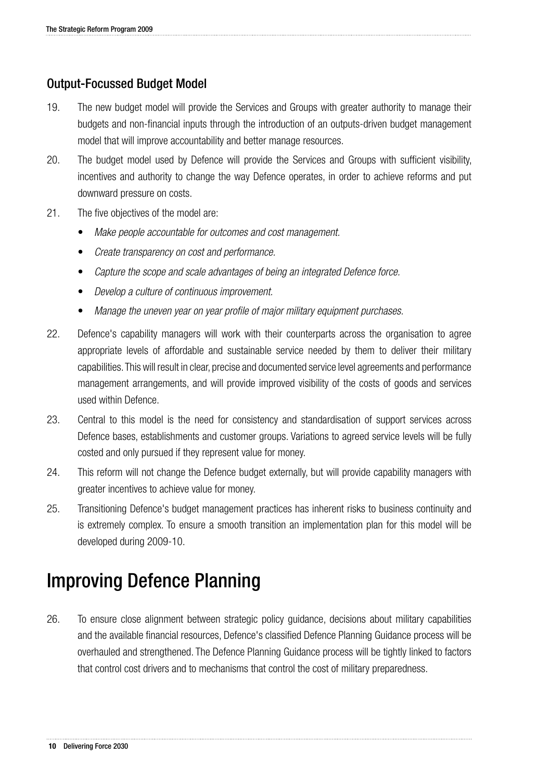### Output-Focussed Budget Model

- 19. The new budget model will provide the Services and Groups with greater authority to manage their budgets and non-financial inputs through the introduction of an outputs-driven budget management model that will improve accountability and better manage resources.
- 20. The budget model used by Defence will provide the Services and Groups with sufficient visibility, incentives and authority to change the way Defence operates, in order to achieve reforms and put downward pressure on costs.
- 21. The five objectives of the model are:
	- Make people accountable for outcomes and cost management.
	- *Create transparency on cost and performance.*
	- Capture the scope and scale advantages of being an integrated Defence force.
	- • *Develop a culture of continuous improvement.*
	- Manage the uneven year on year profile of major military equipment purchases.
- 22. Defence's capability managers will work with their counterparts across the organisation to agree appropriate levels of affordable and sustainable service needed by them to deliver their military capabilities. This will result in clear, precise and documented service level agreements and performance management arrangements, and will provide improved visibility of the costs of goods and services used within Defence.
- 23. Central to this model is the need for consistency and standardisation of support services across Defence bases, establishments and customer groups. Variations to agreed service levels will be fully costed and only pursued if they represent value for money.
- 24. This reform will not change the Defence budget externally, but will provide capability managers with greater incentives to achieve value for money.
- 25. Transitioning Defence's budget management practices has inherent risks to business continuity and is extremely complex. To ensure a smooth transition an implementation plan for this model will be developed during 2009-10.

# Improving Defence Planning

26. To ensure close alignment between strategic policy guidance, decisions about military capabilities and the available financial resources, Defence's classified Defence Planning Guidance process will be overhauled and strengthened. The Defence Planning Guidance process will be tightly linked to factors that control cost drivers and to mechanisms that control the cost of military preparedness.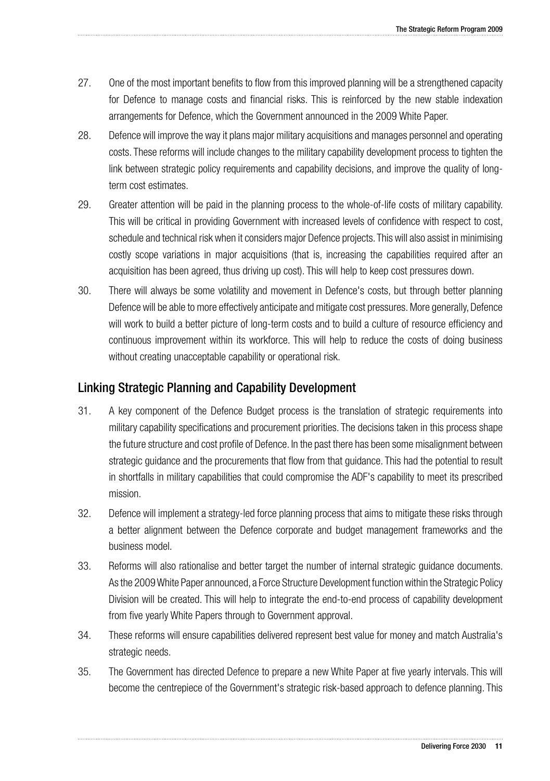- 27. One of the most important benefits to flow from this improved planning will be a strengthened capacity for Defence to manage costs and financial risks. This is reinforced by the new stable indexation arrangements for Defence, which the Government announced in the 2009 White Paper.
- 28. Defence will improve the way it plans major military acquisitions and manages personnel and operating costs. These reforms will include changes to the military capability development process to tighten the link between strategic policy requirements and capability decisions, and improve the quality of longterm cost estimates.
- 29. Greater attention will be paid in the planning process to the whole-of-life costs of military capability. This will be critical in providing Government with increased levels of confidence with respect to cost, schedule and technical risk when it considers major Defence projects. This will also assist in minimising costly scope variations in major acquisitions (that is, increasing the capabilities required after an acquisition has been agreed, thus driving up cost). This will help to keep cost pressures down.
- 30. There will always be some volatility and movement in Defence's costs, but through better planning Defence will be able to more effectively anticipate and mitigate cost pressures. More generally, Defence will work to build a better picture of long-term costs and to build a culture of resource efficiency and continuous improvement within its workforce. This will help to reduce the costs of doing business without creating unacceptable capability or operational risk.

### Linking Strategic Planning and Capability Development

- 31. A key component of the Defence Budget process is the translation of strategic requirements into military capability specifications and procurement priorities. The decisions taken in this process shape the future structure and cost profile of Defence. In the past there has been some misalignment between strategic guidance and the procurements that flow from that guidance. This had the potential to result in shortfalls in military capabilities that could compromise the ADF's capability to meet its prescribed mission.
- 32. Defence will implement a strategy-led force planning process that aims to mitigate these risks through a better alignment between the Defence corporate and budget management frameworks and the business model.
- 33. Reforms will also rationalise and better target the number of internal strategic guidance documents. As the 2009 White Paper announced, a Force Structure Development function within the Strategic Policy Division will be created. This will help to integrate the end-to-end process of capability development from five yearly White Papers through to Government approval.
- 34. These reforms will ensure capabilities delivered represent best value for money and match Australia's strategic needs.
- 35. The Government has directed Defence to prepare a new White Paper at five yearly intervals. This will become the centrepiece of the Government's strategic risk-based approach to defence planning. This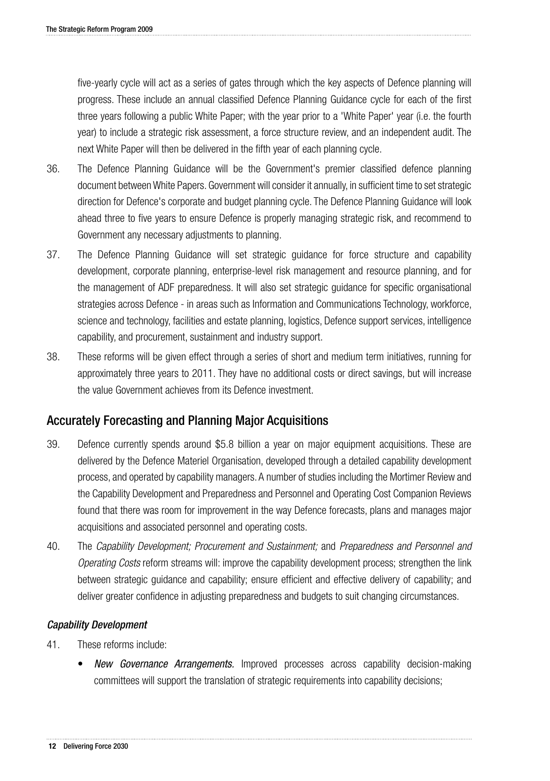five-yearly cycle will act as a series of gates through which the key aspects of Defence planning will progress. These include an annual classified Defence Planning Guidance cycle for each of the first three years following a public White Paper; with the year prior to a 'White Paper' year (i.e. the fourth year) to include a strategic risk assessment, a force structure review, and an independent audit. The next White Paper will then be delivered in the fifth year of each planning cycle.

- 36. The Defence Planning Guidance will be the Government's premier classified defence planning document between White Papers. Government will consider it annually, in sufficient time to set strategic direction for Defence's corporate and budget planning cycle. The Defence Planning Guidance will look ahead three to five years to ensure Defence is properly managing strategic risk, and recommend to Government any necessary adjustments to planning.
- 37. The Defence Planning Guidance will set strategic guidance for force structure and capability development, corporate planning, enterprise-level risk management and resource planning, and for the management of ADF preparedness. It will also set strategic guidance for specific organisational strategies across Defence - in areas such as Information and Communications Technology, workforce, science and technology, facilities and estate planning, logistics, Defence support services, intelligence capability, and procurement, sustainment and industry support.
- 38. These reforms will be given effect through a series of short and medium term initiatives, running for approximately three years to 2011. They have no additional costs or direct savings, but will increase the value Government achieves from its Defence investment.

### Accurately Forecasting and Planning Major Acquisitions

- 39. Defence currently spends around \$5.8 billion a year on major equipment acquisitions. These are delivered by the Defence Materiel Organisation, developed through a detailed capability development process, and operated by capability managers. A number of studies including the Mortimer Review and the Capability Development and Preparedness and Personnel and Operating Cost Companion Reviews found that there was room for improvement in the way Defence forecasts, plans and manages major acquisitions and associated personnel and operating costs.
- 40. The *Capability Development; Procurement and Sustainment;* and *Preparedness and Personnel and Operating Costs* reform streams will: improve the capability development process; strengthen the link between strategic guidance and capability; ensure efficient and effective delivery of capability; and deliver greater confidence in adjusting preparedness and budgets to suit changing circumstances.

### Capability Development

- 41. These reforms include:
	- **New Governance Arrangements.** Improved processes across capability decision-making committees will support the translation of strategic requirements into capability decisions;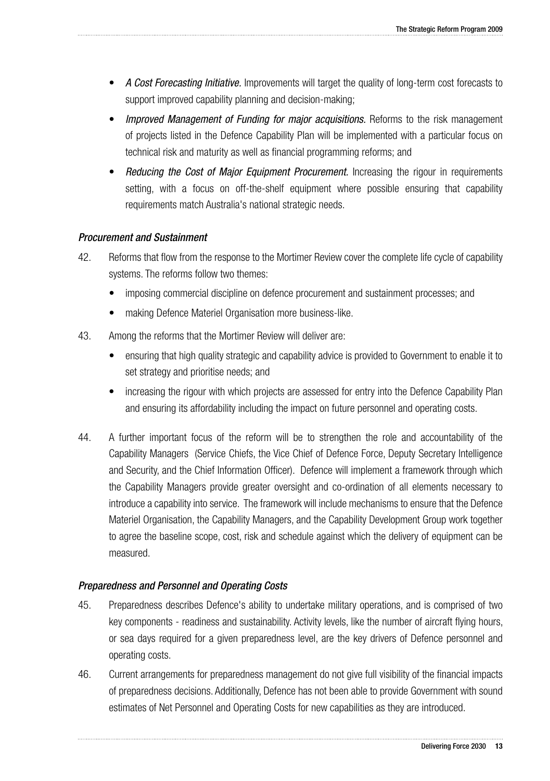- • *A Cost Forecasting Initiative.* Improvements will target the quality of long-term cost forecasts to support improved capability planning and decision-making;
- *Improved Management of Funding for major acquisitions.* Reforms to the risk management of projects listed in the Defence Capability Plan will be implemented with a particular focus on technical risk and maturity as well as financial programming reforms; and
- *Reducing the Cost of Major Equipment Procurement.* **Increasing the rigour in requirements** setting, with a focus on off-the-shelf equipment where possible ensuring that capability requirements match Australia's national strategic needs.

### Procurement and Sustainment

- 42. Reforms that flow from the response to the Mortimer Review cover the complete life cycle of capability systems. The reforms follow two themes:
	- imposing commercial discipline on defence procurement and sustainment processes; and
	- making Defence Materiel Organisation more business-like.
- 43. Among the reforms that the Mortimer Review will deliver are:
	- ensuring that high quality strategic and capability advice is provided to Government to enable it to set strategy and prioritise needs; and
	- increasing the rigour with which projects are assessed for entry into the Defence Capability Plan and ensuring its affordability including the impact on future personnel and operating costs.
- 44. A further important focus of the reform will be to strengthen the role and accountability of the Capability Managers (Service Chiefs, the Vice Chief of Defence Force, Deputy Secretary Intelligence and Security, and the Chief Information Officer). Defence will implement a framework through which the Capability Managers provide greater oversight and co-ordination of all elements necessary to introduce a capability into service. The framework will include mechanisms to ensure that the Defence Materiel Organisation, the Capability Managers, and the Capability Development Group work together to agree the baseline scope, cost, risk and schedule against which the delivery of equipment can be measured.

### Preparedness and Personnel and Operating Costs

- 45. Preparedness describes Defence's ability to undertake military operations, and is comprised of two key components - readiness and sustainability. Activity levels, like the number of aircraft flying hours, or sea days required for a given preparedness level, are the key drivers of Defence personnel and operating costs.
- 46. Current arrangements for preparedness management do not give full visibility of the financial impacts of preparedness decisions. Additionally, Defence has not been able to provide Government with sound estimates of Net Personnel and Operating Costs for new capabilities as they are introduced.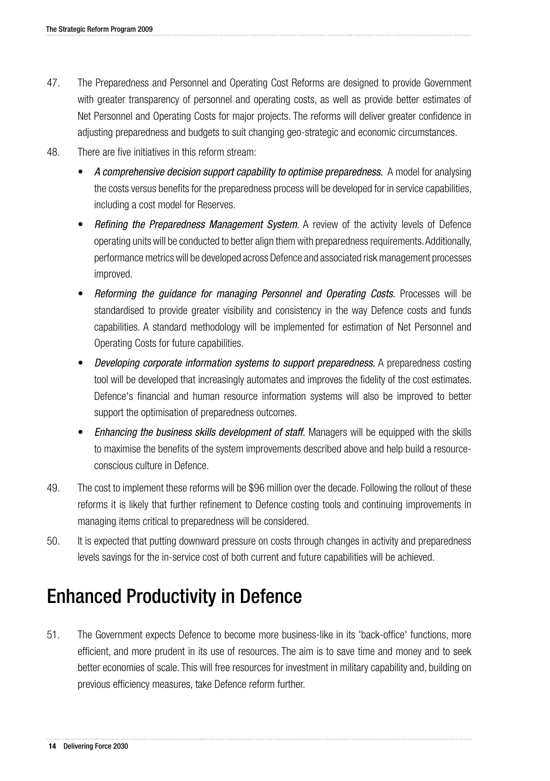- 47. The Preparedness and Personnel and Operating Cost Reforms are designed to provide Government with greater transparency of personnel and operating costs, as well as provide better estimates of Net Personnel and Operating Costs for major projects. The reforms will deliver greater confidence in adjusting preparedness and budgets to suit changing geo-strategic and economic circumstances.
- 48. There are five initiatives in this reform stream:
	- A comprehensive decision support capability to optimise preparedness. A model for analysing the costs versus benefits for the preparedness process will be developed for in service capabilities, including a cost model for Reserves.
	- *Refining the Preparedness Management System.* A review of the activity levels of Defence operating units will be conducted to better align them with preparedness requirements. Additionally, performance metrics will be developed across Defence and associated risk management processes improved.
	- Reforming the guidance for managing Personnel and Operating Costs. Processes will be standardised to provide greater visibility and consistency in the way Defence costs and funds capabilities. A standard methodology will be implemented for estimation of Net Personnel and Operating Costs for future capabilities.
	- *Developing corporate information systems to support preparedness.* **A preparedness costing** tool will be developed that increasingly automates and improves the fidelity of the cost estimates. Defence's financial and human resource information systems will also be improved to better support the optimisation of preparedness outcomes.
	- **Enhancing the business skills development of staff.** Managers will be equipped with the skills to maximise the benefits of the system improvements described above and help build a resourceconscious culture in Defence.
- 49. The cost to implement these reforms will be \$96 million over the decade. Following the rollout of these reforms it is likely that further refinement to Defence costing tools and continuing improvements in managing items critical to preparedness will be considered.
- 50. It is expected that putting downward pressure on costs through changes in activity and preparedness levels savings for the in-service cost of both current and future capabilities will be achieved.

# Enhanced Productivity in Defence

51. The Government expects Defence to become more business-like in its 'back-office' functions, more efficient, and more prudent in its use of resources. The aim is to save time and money and to seek better economies of scale. This will free resources for investment in military capability and, building on previous efficiency measures, take Defence reform further.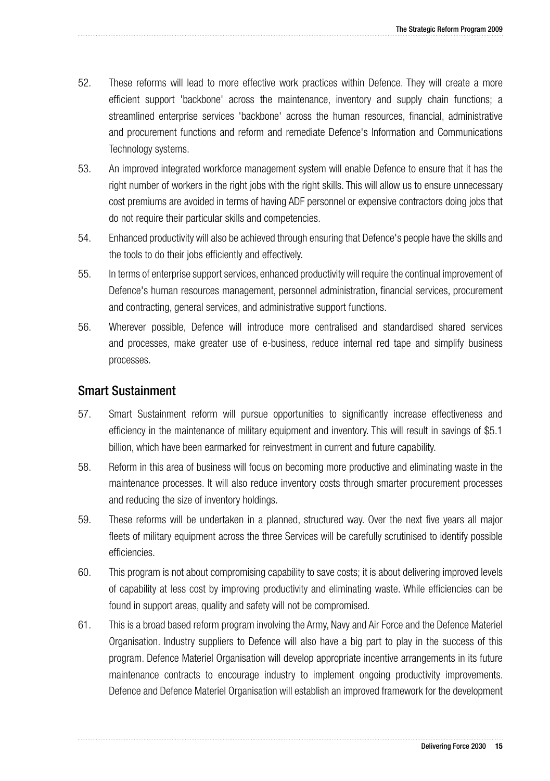- 52. These reforms will lead to more effective work practices within Defence. They will create a more efficient support 'backbone' across the maintenance, inventory and supply chain functions; a streamlined enterprise services 'backbone' across the human resources, financial, administrative and procurement functions and reform and remediate Defence's Information and Communications Technology systems.
- 53. An improved integrated workforce management system will enable Defence to ensure that it has the right number of workers in the right jobs with the right skills. This will allow us to ensure unnecessary cost premiums are avoided in terms of having ADF personnel or expensive contractors doing jobs that do not require their particular skills and competencies.
- 54. Enhanced productivity will also be achieved through ensuring that Defence's people have the skills and the tools to do their jobs efficiently and effectively.
- 55. In terms of enterprise support services, enhanced productivity will require the continual improvement of Defence's human resources management, personnel administration, financial services, procurement and contracting, general services, and administrative support functions.
- 56. Wherever possible, Defence will introduce more centralised and standardised shared services and processes, make greater use of e-business, reduce internal red tape and simplify business processes.

### Smart Sustainment

- 57. Smart Sustainment reform will pursue opportunities to significantly increase effectiveness and efficiency in the maintenance of military equipment and inventory. This will result in savings of \$5.1 billion, which have been earmarked for reinvestment in current and future capability.
- 58. Reform in this area of business will focus on becoming more productive and eliminating waste in the maintenance processes. It will also reduce inventory costs through smarter procurement processes and reducing the size of inventory holdings.
- 59. These reforms will be undertaken in a planned, structured way. Over the next five years all major fleets of military equipment across the three Services will be carefully scrutinised to identify possible efficiencies.
- 60. This program is not about compromising capability to save costs; it is about delivering improved levels of capability at less cost by improving productivity and eliminating waste. While efficiencies can be found in support areas, quality and safety will not be compromised.
- 61. This is a broad based reform program involving the Army, Navy and Air Force and the Defence Materiel Organisation. Industry suppliers to Defence will also have a big part to play in the success of this program. Defence Materiel Organisation will develop appropriate incentive arrangements in its future maintenance contracts to encourage industry to implement ongoing productivity improvements. Defence and Defence Materiel Organisation will establish an improved framework for the development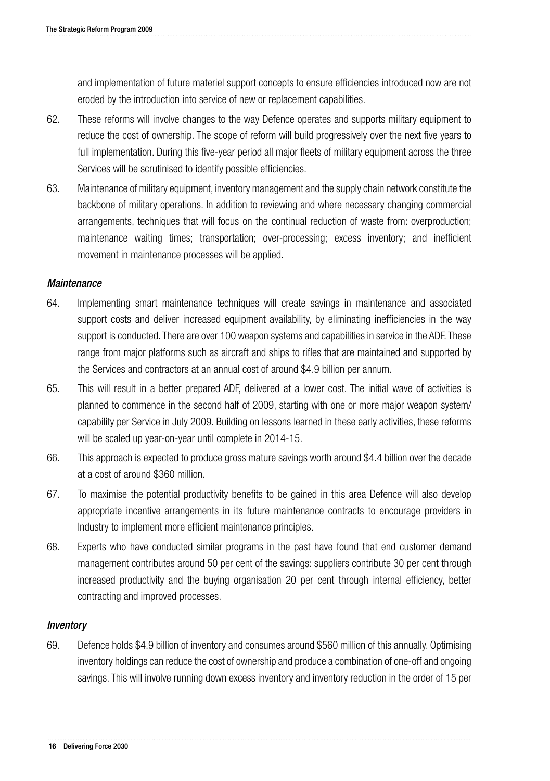and implementation of future materiel support concepts to ensure efficiencies introduced now are not eroded by the introduction into service of new or replacement capabilities.

- 62. These reforms will involve changes to the way Defence operates and supports military equipment to reduce the cost of ownership. The scope of reform will build progressively over the next five years to full implementation. During this five-year period all major fleets of military equipment across the three Services will be scrutinised to identify possible efficiencies.
- 63. Maintenance of military equipment, inventory management and the supply chain network constitute the backbone of military operations. In addition to reviewing and where necessary changing commercial arrangements, techniques that will focus on the continual reduction of waste from: overproduction; maintenance waiting times; transportation; over-processing; excess inventory; and inefficient movement in maintenance processes will be applied.

### **Maintenance**

- 64. Implementing smart maintenance techniques will create savings in maintenance and associated support costs and deliver increased equipment availability, by eliminating inefficiencies in the way support is conducted. There are over 100 weapon systems and capabilities in service in the ADF. These range from major platforms such as aircraft and ships to rifles that are maintained and supported by the Services and contractors at an annual cost of around \$4.9 billion per annum.
- 65. This will result in a better prepared ADF, delivered at a lower cost. The initial wave of activities is planned to commence in the second half of 2009, starting with one or more major weapon system/ capability per Service in July 2009. Building on lessons learned in these early activities, these reforms will be scaled up year-on-year until complete in 2014-15.
- 66. This approach is expected to produce gross mature savings worth around \$4.4 billion over the decade at a cost of around \$360 million.
- 67. To maximise the potential productivity benefits to be gained in this area Defence will also develop appropriate incentive arrangements in its future maintenance contracts to encourage providers in Industry to implement more efficient maintenance principles.
- 68. Experts who have conducted similar programs in the past have found that end customer demand management contributes around 50 per cent of the savings: suppliers contribute 30 per cent through increased productivity and the buying organisation 20 per cent through internal efficiency, better contracting and improved processes.

### Inventory

69. Defence holds \$4.9 billion of inventory and consumes around \$560 million of this annually. Optimising inventory holdings can reduce the cost of ownership and produce a combination of one-off and ongoing savings. This will involve running down excess inventory and inventory reduction in the order of 15 per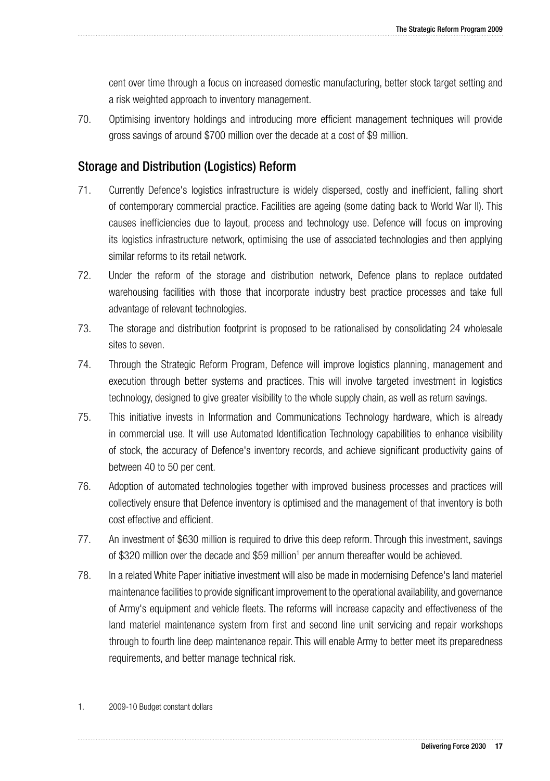cent over time through a focus on increased domestic manufacturing, better stock target setting and a risk weighted approach to inventory management.

70. Optimising inventory holdings and introducing more efficient management techniques will provide gross savings of around \$700 million over the decade at a cost of \$9 million.

### Storage and Distribution (Logistics) Reform

- 71. Currently Defence's logistics infrastructure is widely dispersed, costly and inefficient, falling short of contemporary commercial practice. Facilities are ageing (some dating back to World War II). This causes inefficiencies due to layout, process and technology use. Defence will focus on improving its logistics infrastructure network, optimising the use of associated technologies and then applying similar reforms to its retail network.
- 72. Under the reform of the storage and distribution network, Defence plans to replace outdated warehousing facilities with those that incorporate industry best practice processes and take full advantage of relevant technologies.
- 73. The storage and distribution footprint is proposed to be rationalised by consolidating 24 wholesale sites to seven.
- 74. Through the Strategic Reform Program, Defence will improve logistics planning, management and execution through better systems and practices. This will involve targeted investment in logistics technology, designed to give greater visibility to the whole supply chain, as well as return savings.
- 75. This initiative invests in Information and Communications Technology hardware, which is already in commercial use. It will use Automated Identification Technology capabilities to enhance visibility of stock, the accuracy of Defence's inventory records, and achieve significant productivity gains of between 40 to 50 per cent.
- 76. Adoption of automated technologies together with improved business processes and practices will collectively ensure that Defence inventory is optimised and the management of that inventory is both cost effective and efficient.
- 77. An investment of \$630 million is required to drive this deep reform. Through this investment, savings of \$320 million over the decade and \$59 million<sup>1</sup> per annum thereafter would be achieved.
- 78. In a related White Paper initiative investment will also be made in modernising Defence's land materiel maintenance facilities to provide significant improvement to the operational availability, and governance of Army's equipment and vehicle fleets. The reforms will increase capacity and effectiveness of the land materiel maintenance system from first and second line unit servicing and repair workshops through to fourth line deep maintenance repair. This will enable Army to better meet its preparedness requirements, and better manage technical risk.
- 1. 2009-10 Budget constant dollars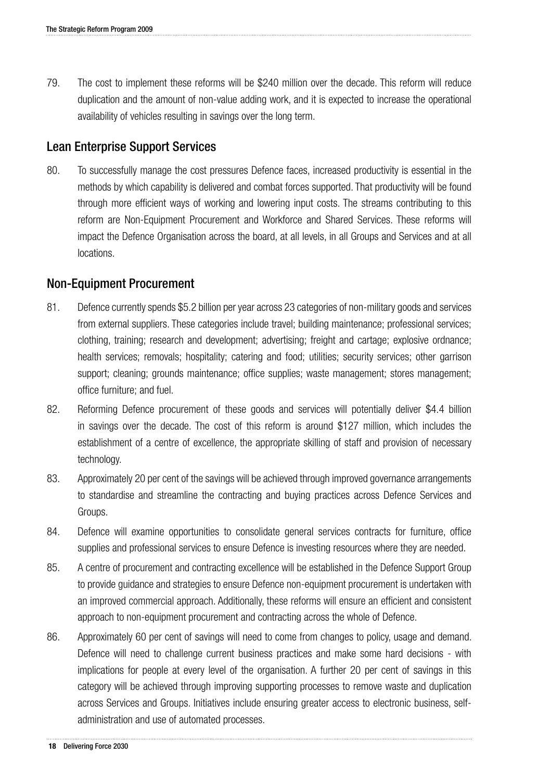79. The cost to implement these reforms will be \$240 million over the decade. This reform will reduce duplication and the amount of non-value adding work, and it is expected to increase the operational availability of vehicles resulting in savings over the long term.

### Lean Enterprise Support Services

80. To successfully manage the cost pressures Defence faces, increased productivity is essential in the methods by which capability is delivered and combat forces supported. That productivity will be found through more efficient ways of working and lowering input costs. The streams contributing to this reform are Non-Equipment Procurement and Workforce and Shared Services. These reforms will impact the Defence Organisation across the board, at all levels, in all Groups and Services and at all locations.

### Non-Equipment Procurement

- 81. Defence currently spends \$5.2 billion per year across 23 categories of non-military goods and services from external suppliers. These categories include travel; building maintenance; professional services; clothing, training; research and development; advertising; freight and cartage; explosive ordnance; health services; removals; hospitality; catering and food; utilities; security services; other garrison support; cleaning; grounds maintenance; office supplies; waste management; stores management; office furniture; and fuel.
- 82. Reforming Defence procurement of these goods and services will potentially deliver \$4.4 billion in savings over the decade. The cost of this reform is around \$127 million, which includes the establishment of a centre of excellence, the appropriate skilling of staff and provision of necessary technology.
- 83. Approximately 20 per cent of the savings will be achieved through improved governance arrangements to standardise and streamline the contracting and buying practices across Defence Services and Groups.
- 84. Defence will examine opportunities to consolidate general services contracts for furniture, office supplies and professional services to ensure Defence is investing resources where they are needed.
- 85. A centre of procurement and contracting excellence will be established in the Defence Support Group to provide guidance and strategies to ensure Defence non-equipment procurement is undertaken with an improved commercial approach. Additionally, these reforms will ensure an efficient and consistent approach to non-equipment procurement and contracting across the whole of Defence.
- 86. Approximately 60 per cent of savings will need to come from changes to policy, usage and demand. Defence will need to challenge current business practices and make some hard decisions - with implications for people at every level of the organisation. A further 20 per cent of savings in this category will be achieved through improving supporting processes to remove waste and duplication across Services and Groups. Initiatives include ensuring greater access to electronic business, selfadministration and use of automated processes.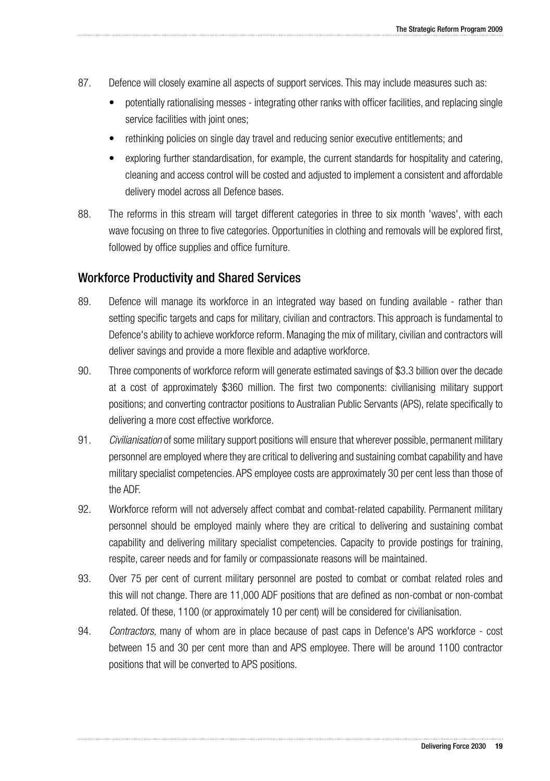- 87. Defence will closely examine all aspects of support services. This may include measures such as:
	- potentially rationalising messes integrating other ranks with officer facilities, and replacing single service facilities with joint ones;
	- rethinking policies on single day travel and reducing senior executive entitlements; and
	- exploring further standardisation, for example, the current standards for hospitality and catering, cleaning and access control will be costed and adjusted to implement a consistent and affordable delivery model across all Defence bases.
- 88. The reforms in this stream will target different categories in three to six month 'waves', with each wave focusing on three to five categories. Opportunities in clothing and removals will be explored first, followed by office supplies and office furniture.

### Workforce Productivity and Shared Services

- 89. Defence will manage its workforce in an integrated way based on funding available rather than setting specific targets and caps for military, civilian and contractors. This approach is fundamental to Defence's ability to achieve workforce reform. Managing the mix of military, civilian and contractors will deliver savings and provide a more flexible and adaptive workforce.
- 90. Three components of workforce reform will generate estimated savings of \$3.3 billion over the decade at a cost of approximately \$360 million. The first two components: civilianising military support positions; and converting contractor positions to Australian Public Servants (APS), relate specifically to delivering a more cost effective workforce.
- 91. *Civilianisation* of some military support positions will ensure that wherever possible, permanent military personnel are employed where they are critical to delivering and sustaining combat capability and have military specialist competencies. APS employee costs are approximately 30 per cent less than those of the ADF.
- 92. Workforce reform will not adversely affect combat and combat-related capability. Permanent military personnel should be employed mainly where they are critical to delivering and sustaining combat capability and delivering military specialist competencies. Capacity to provide postings for training, respite, career needs and for family or compassionate reasons will be maintained.
- 93. Over 75 per cent of current military personnel are posted to combat or combat related roles and this will not change. There are 11,000 ADF positions that are defined as non-combat or non-combat related. Of these, 1100 (or approximately 10 per cent) will be considered for civilianisation.
- 94. *Contractors*, many of whom are in place because of past caps in Defence's APS workforce cost between 15 and 30 per cent more than and APS employee. There will be around 1100 contractor positions that will be converted to APS positions.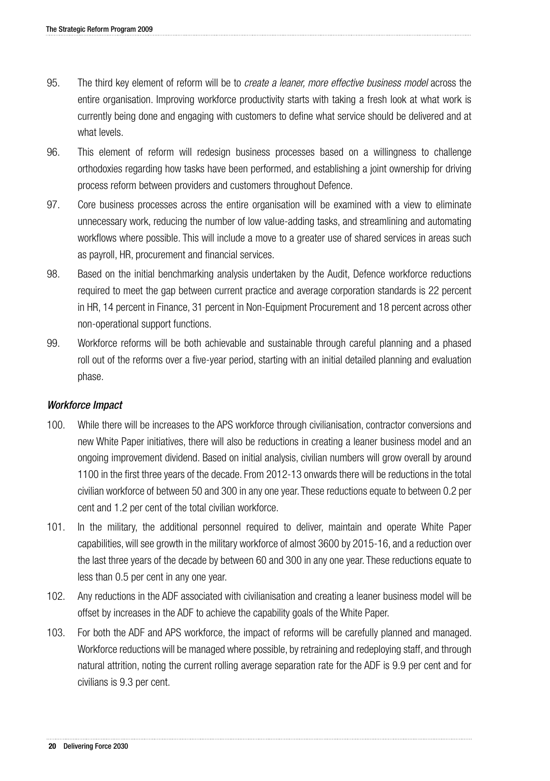- 95. The third key element of reform will be to *create a leaner, more effective business model* across the entire organisation. Improving workforce productivity starts with taking a fresh look at what work is currently being done and engaging with customers to define what service should be delivered and at what levels.
- 96. This element of reform will redesign business processes based on a willingness to challenge orthodoxies regarding how tasks have been performed, and establishing a joint ownership for driving process reform between providers and customers throughout Defence.
- 97. Core business processes across the entire organisation will be examined with a view to eliminate unnecessary work, reducing the number of low value-adding tasks, and streamlining and automating workflows where possible. This will include a move to a greater use of shared services in areas such as payroll, HR, procurement and financial services.
- 98. Based on the initial benchmarking analysis undertaken by the Audit, Defence workforce reductions required to meet the gap between current practice and average corporation standards is 22 percent in HR, 14 percent in Finance, 31 percent in Non-Equipment Procurement and 18 percent across other non-operational support functions.
- 99. Workforce reforms will be both achievable and sustainable through careful planning and a phased roll out of the reforms over a five-year period, starting with an initial detailed planning and evaluation phase.

### Workforce Impact

- 100. While there will be increases to the APS workforce through civilianisation, contractor conversions and new White Paper initiatives, there will also be reductions in creating a leaner business model and an ongoing improvement dividend. Based on initial analysis, civilian numbers will grow overall by around 1100 in the first three years of the decade. From 2012-13 onwards there will be reductions in the total civilian workforce of between 50 and 300 in any one year. These reductions equate to between 0.2 per cent and 1.2 per cent of the total civilian workforce.
- 101. In the military, the additional personnel required to deliver, maintain and operate White Paper capabilities, will see growth in the military workforce of almost 3600 by 2015-16, and a reduction over the last three years of the decade by between 60 and 300 in any one year. These reductions equate to less than 0.5 per cent in any one year.
- 102. Any reductions in the ADF associated with civilianisation and creating a leaner business model will be offset by increases in the ADF to achieve the capability goals of the White Paper.
- 103. For both the ADF and APS workforce, the impact of reforms will be carefully planned and managed. Workforce reductions will be managed where possible, by retraining and redeploying staff, and through natural attrition, noting the current rolling average separation rate for the ADF is 9.9 per cent and for civilians is 9.3 per cent.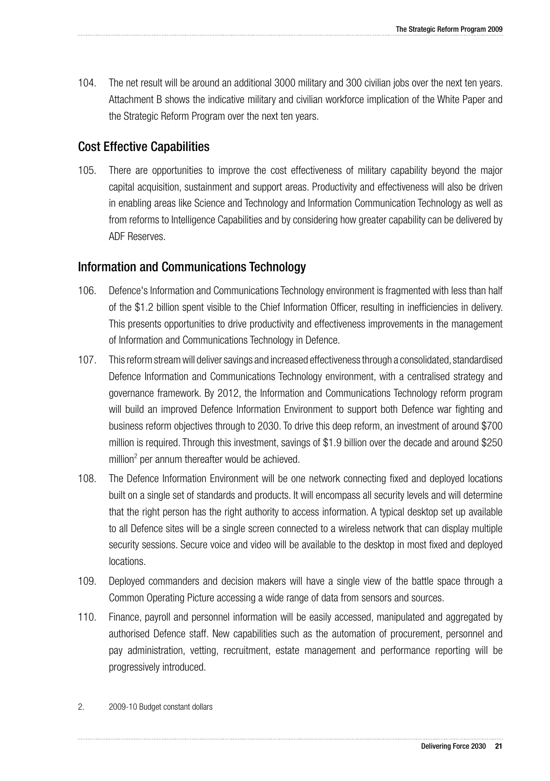104. The net result will be around an additional 3000 military and 300 civilian jobs over the next ten years. Attachment B shows the indicative military and civilian workforce implication of the White Paper and the Strategic Reform Program over the next ten years.

### Cost Effective Capabilities

105. There are opportunities to improve the cost effectiveness of military capability beyond the major capital acquisition, sustainment and support areas. Productivity and effectiveness will also be driven in enabling areas like Science and Technology and Information Communication Technology as well as from reforms to Intelligence Capabilities and by considering how greater capability can be delivered by ADF Reserves.

### Information and Communications Technology

- 106. Defence's Information and Communications Technology environment is fragmented with less than half of the \$1.2 billion spent visible to the Chief Information Officer, resulting in inefficiencies in delivery. This presents opportunities to drive productivity and effectiveness improvements in the management of Information and Communications Technology in Defence.
- 107. This reform stream will deliver savings and increased effectiveness through a consolidated, standardised Defence Information and Communications Technology environment, with a centralised strategy and governance framework. By 2012, the Information and Communications Technology reform program will build an improved Defence Information Environment to support both Defence war fighting and business reform objectives through to 2030. To drive this deep reform, an investment of around \$700 million is required. Through this investment, savings of \$1.9 billion over the decade and around \$250 million<sup>2</sup> per annum thereafter would be achieved.
- 108. The Defence Information Environment will be one network connecting fixed and deployed locations built on a single set of standards and products. It will encompass all security levels and will determine that the right person has the right authority to access information. A typical desktop set up available to all Defence sites will be a single screen connected to a wireless network that can display multiple security sessions. Secure voice and video will be available to the desktop in most fixed and deployed locations.
- 109. Deployed commanders and decision makers will have a single view of the battle space through a Common Operating Picture accessing a wide range of data from sensors and sources.
- 110. Finance, payroll and personnel information will be easily accessed, manipulated and aggregated by authorised Defence staff. New capabilities such as the automation of procurement, personnel and pay administration, vetting, recruitment, estate management and performance reporting will be progressively introduced.

### 2. 2009-10 Budget constant dollars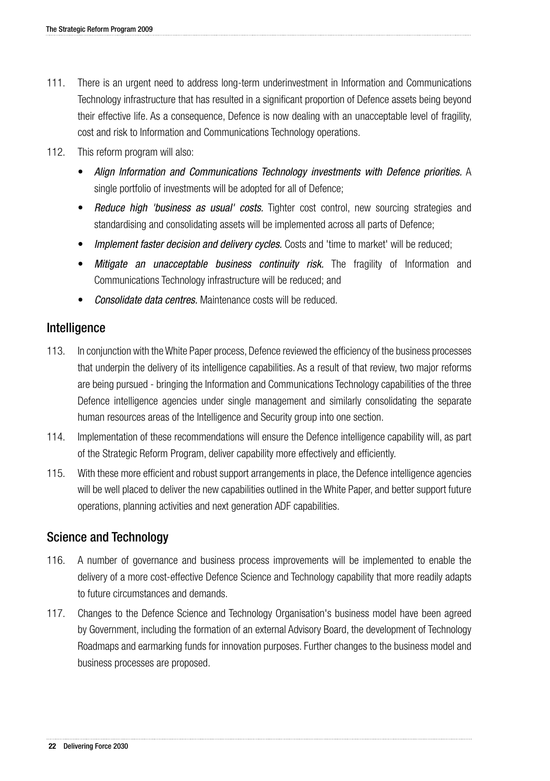- 111. There is an urgent need to address long-term underinvestment in Information and Communications Technology infrastructure that has resulted in a significant proportion of Defence assets being beyond their effective life. As a consequence, Defence is now dealing with an unacceptable level of fragility, cost and risk to Information and Communications Technology operations.
- 112. This reform program will also:
	- • *Align Information and Communications Technology investments with Defence priorities.* A single portfolio of investments will be adopted for all of Defence;
	- **Reduce high 'business as usual' costs.** Tighter cost control, new sourcing strategies and standardising and consolidating assets will be implemented across all parts of Defence;
	- *Implement faster decision and delivery cycles.* Costs and 'time to market' will be reduced;
	- **Mitigate an unacceptable business continuity risk.** The fragility of Information and Communications Technology infrastructure will be reduced; and
	- **Consolidate data centres.** Maintenance costs will be reduced.

### Intelligence

- 113. In conjunction with the White Paper process, Defence reviewed the efficiency of the business processes that underpin the delivery of its intelligence capabilities. As a result of that review, two major reforms are being pursued - bringing the Information and Communications Technology capabilities of the three Defence intelligence agencies under single management and similarly consolidating the separate human resources areas of the Intelligence and Security group into one section.
- 114. Implementation of these recommendations will ensure the Defence intelligence capability will, as part of the Strategic Reform Program, deliver capability more effectively and efficiently.
- 115. With these more efficient and robust support arrangements in place, the Defence intelligence agencies will be well placed to deliver the new capabilities outlined in the White Paper, and better support future operations, planning activities and next generation ADF capabilities.

### Science and Technology

- 116. A number of governance and business process improvements will be implemented to enable the delivery of a more cost-effective Defence Science and Technology capability that more readily adapts to future circumstances and demands.
- 117. Changes to the Defence Science and Technology Organisation's business model have been agreed by Government, including the formation of an external Advisory Board, the development of Technology Roadmaps and earmarking funds for innovation purposes. Further changes to the business model and business processes are proposed.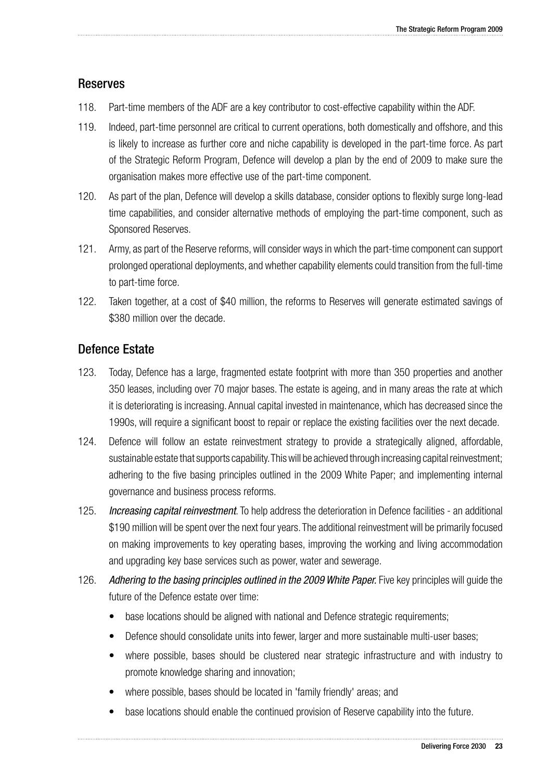### Reserves

- 118. Part-time members of the ADF are a key contributor to cost-effective capability within the ADF.
- 119. Indeed, part-time personnel are critical to current operations, both domestically and offshore, and this is likely to increase as further core and niche capability is developed in the part-time force. As part of the Strategic Reform Program, Defence will develop a plan by the end of 2009 to make sure the organisation makes more effective use of the part-time component.
- 120. As part of the plan, Defence will develop a skills database, consider options to flexibly surge long-lead time capabilities, and consider alternative methods of employing the part-time component, such as Sponsored Reserves.
- 121. Army, as part of the Reserve reforms, will consider ways in which the part-time component can support prolonged operational deployments, and whether capability elements could transition from the full-time to part-time force.
- 122. Taken together, at a cost of \$40 million, the reforms to Reserves will generate estimated savings of \$380 million over the decade.

### Defence Estate

- 123. Today, Defence has a large, fragmented estate footprint with more than 350 properties and another 350 leases, including over 70 major bases. The estate is ageing, and in many areas the rate at which it is deteriorating is increasing. Annual capital invested in maintenance, which has decreased since the 1990s, will require a significant boost to repair or replace the existing facilities over the next decade.
- 124. Defence will follow an estate reinvestment strategy to provide a strategically aligned, affordable, sustainable estate that supports capability. This will be achieved through increasing capital reinvestment; adhering to the five basing principles outlined in the 2009 White Paper; and implementing internal governance and business process reforms.
- 125. *Increasing capital reinvestment*. To help address the deterioration in Defence facilities an additional \$190 million will be spent over the next four years. The additional reinvestment will be primarily focused on making improvements to key operating bases, improving the working and living accommodation and upgrading key base services such as power, water and sewerage.
- 126. *Adhering to the basing principles outlined in the 2009 White Paper.* Five key principles will guide the future of the Defence estate over time:
	- base locations should be aligned with national and Defence strategic requirements;
	- Defence should consolidate units into fewer, larger and more sustainable multi-user bases;
	- where possible, bases should be clustered near strategic infrastructure and with industry to promote knowledge sharing and innovation;
	- where possible, bases should be located in 'family friendly' areas; and
	- base locations should enable the continued provision of Reserve capability into the future.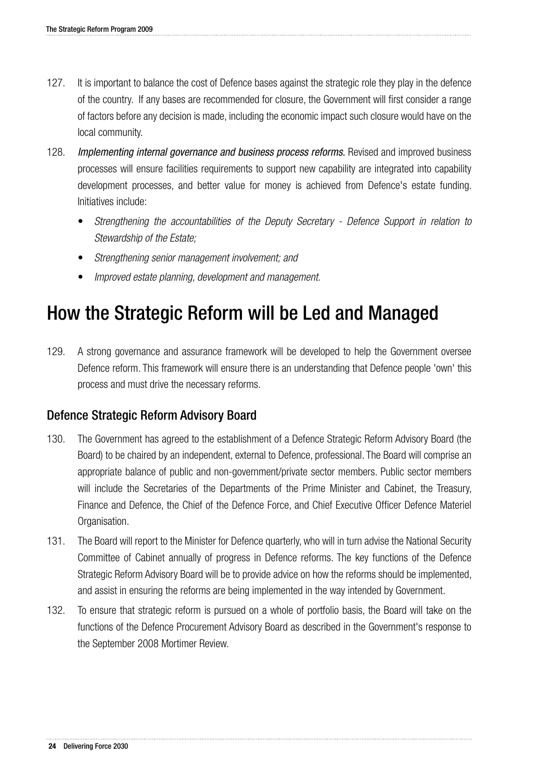- 127. It is important to balance the cost of Defence bases against the strategic role they play in the defence of the country. If any bases are recommended for closure, the Government will first consider a range of factors before any decision is made, including the economic impact such closure would have on the local community.
- 128. *Implementing internal governance and business process reforms.* Revised and improved business processes will ensure facilities requirements to support new capability are integrated into capability development processes, and better value for money is achieved from Defence's estate funding. Initiatives include:
	- *Strengthening the accountabilities of the Deputy Secretary Defence Support in relation to Stewardship of the Estate;*
	- • *Strengthening senior management involvement; and*
	- Improved estate planning, development and management.

# How the Strategic Reform will be Led and Managed

129. A strong governance and assurance framework will be developed to help the Government oversee Defence reform. This framework will ensure there is an understanding that Defence people 'own' this process and must drive the necessary reforms.

### Defence Strategic Reform Advisory Board

- 130. The Government has agreed to the establishment of a Defence Strategic Reform Advisory Board (the Board) to be chaired by an independent, external to Defence, professional. The Board will comprise an appropriate balance of public and non-government/private sector members. Public sector members will include the Secretaries of the Departments of the Prime Minister and Cabinet, the Treasury, Finance and Defence, the Chief of the Defence Force, and Chief Executive Officer Defence Materiel Organisation.
- 131. The Board will report to the Minister for Defence quarterly, who will in turn advise the National Security Committee of Cabinet annually of progress in Defence reforms. The key functions of the Defence Strategic Reform Advisory Board will be to provide advice on how the reforms should be implemented, and assist in ensuring the reforms are being implemented in the way intended by Government.
- 132. To ensure that strategic reform is pursued on a whole of portfolio basis, the Board will take on the functions of the Defence Procurement Advisory Board as described in the Government's response to the September 2008 Mortimer Review.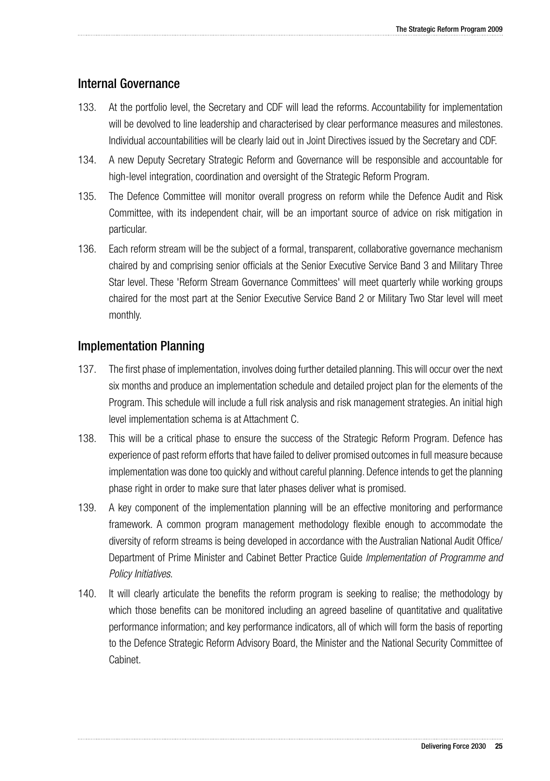### Internal Governance

- 133. At the portfolio level, the Secretary and CDF will lead the reforms. Accountability for implementation will be devolved to line leadership and characterised by clear performance measures and milestones. Individual accountabilities will be clearly laid out in Joint Directives issued by the Secretary and CDF.
- 134. A new Deputy Secretary Strategic Reform and Governance will be responsible and accountable for high-level integration, coordination and oversight of the Strategic Reform Program.
- 135. The Defence Committee will monitor overall progress on reform while the Defence Audit and Risk Committee, with its independent chair, will be an important source of advice on risk mitigation in particular.
- 136. Each reform stream will be the subject of a formal, transparent, collaborative governance mechanism chaired by and comprising senior officials at the Senior Executive Service Band 3 and Military Three Star level. These 'Reform Stream Governance Committees' will meet quarterly while working groups chaired for the most part at the Senior Executive Service Band 2 or Military Two Star level will meet monthly.

### Implementation Planning

- 137. The first phase of implementation, involves doing further detailed planning. This will occur over the next six months and produce an implementation schedule and detailed project plan for the elements of the Program. This schedule will include a full risk analysis and risk management strategies. An initial high level implementation schema is at Attachment C.
- 138. This will be a critical phase to ensure the success of the Strategic Reform Program. Defence has experience of past reform efforts that have failed to deliver promised outcomes in full measure because implementation was done too quickly and without careful planning. Defence intends to get the planning phase right in order to make sure that later phases deliver what is promised.
- 139. A key component of the implementation planning will be an effective monitoring and performance framework. A common program management methodology flexible enough to accommodate the diversity of reform streams is being developed in accordance with the Australian National Audit Office/ Department of Prime Minister and Cabinet Better Practice Guide *Implementation of Programme and Policy Initiatives*.
- 140. It will clearly articulate the benefits the reform program is seeking to realise; the methodology by which those benefits can be monitored including an agreed baseline of quantitative and qualitative performance information; and key performance indicators, all of which will form the basis of reporting to the Defence Strategic Reform Advisory Board, the Minister and the National Security Committee of Cabinet.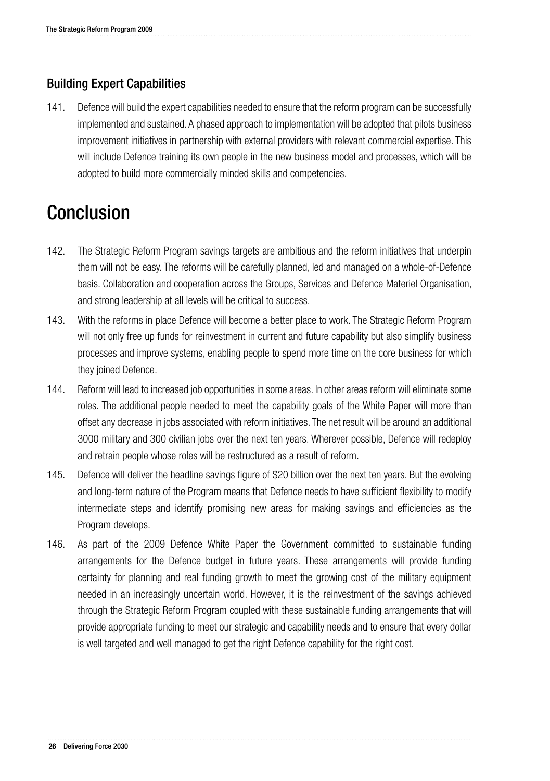### Building Expert Capabilities

141. Defence will build the expert capabilities needed to ensure that the reform program can be successfully implemented and sustained. A phased approach to implementation will be adopted that pilots business improvement initiatives in partnership with external providers with relevant commercial expertise. This will include Defence training its own people in the new business model and processes, which will be adopted to build more commercially minded skills and competencies.

# Conclusion

- 142. The Strategic Reform Program savings targets are ambitious and the reform initiatives that underpin them will not be easy. The reforms will be carefully planned, led and managed on a whole-of-Defence basis. Collaboration and cooperation across the Groups, Services and Defence Materiel Organisation, and strong leadership at all levels will be critical to success.
- 143. With the reforms in place Defence will become a better place to work. The Strategic Reform Program will not only free up funds for reinvestment in current and future capability but also simplify business processes and improve systems, enabling people to spend more time on the core business for which they joined Defence.
- 144. Reform will lead to increased job opportunities in some areas. In other areas reform will eliminate some roles. The additional people needed to meet the capability goals of the White Paper will more than offset any decrease in jobs associated with reform initiatives. The net result will be around an additional 3000 military and 300 civilian jobs over the next ten years. Wherever possible, Defence will redeploy and retrain people whose roles will be restructured as a result of reform.
- 145. Defence will deliver the headline savings figure of \$20 billion over the next ten years. But the evolving and long-term nature of the Program means that Defence needs to have sufficient flexibility to modify intermediate steps and identify promising new areas for making savings and efficiencies as the Program develops.
- 146. As part of the 2009 Defence White Paper the Government committed to sustainable funding arrangements for the Defence budget in future years. These arrangements will provide funding certainty for planning and real funding growth to meet the growing cost of the military equipment needed in an increasingly uncertain world. However, it is the reinvestment of the savings achieved through the Strategic Reform Program coupled with these sustainable funding arrangements that will provide appropriate funding to meet our strategic and capability needs and to ensure that every dollar is well targeted and well managed to get the right Defence capability for the right cost.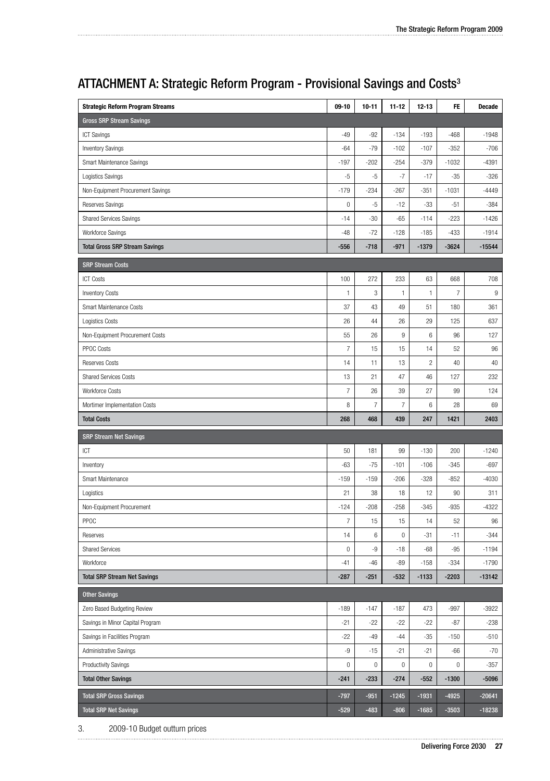| <b>Strategic Reform Program Streams</b> | $09-10$          | $10 - 11$      | $11 - 12$        | $12 - 13$               | FE               | Decade   |
|-----------------------------------------|------------------|----------------|------------------|-------------------------|------------------|----------|
| <b>Gross SRP Stream Savings</b>         |                  |                |                  |                         |                  |          |
| <b>ICT Savings</b>                      | $-49$            | $-92$          | $-134$           | $-193$                  | -468             | $-1948$  |
| <b>Inventory Savings</b>                | $-64$            | $-79$          | $-102$           | $-107$                  | $-352$           | $-706$   |
| Smart Maintenance Savings               | $-197$           | $-202$         | $-254$           | $-379$                  | $-1032$          | -4391    |
| Logistics Savings                       | -5               | -5             | -7               | $-17$                   | $-35$            | $-326$   |
| Non-Equipment Procurement Savings       | $-179$           | $-234$         | -267             | -351                    | $-1031$          | -4449    |
| Reserves Savings                        | $\bf 0$          | $-5$           | $-12$            | $-33$                   | $-51$            | $-384$   |
| <b>Shared Services Savings</b>          | $-14$            | $-30$          | $-65$            | $-114$                  | $-223$           | $-1426$  |
| Workforce Savings                       | $-48$            | $-72$          | $-128$           | $-185$                  | $-433$           | $-1914$  |
| <b>Total Gross SRP Stream Savings</b>   | $-556$           | $-718$         | $-971$           | $-1379$                 | $-3624$          | $-15544$ |
| <b>SRP Stream Costs</b>                 |                  |                |                  |                         |                  |          |
| <b>ICT Costs</b>                        | 100              | 272            | 233              | 63                      | 668              | 708      |
| <b>Inventory Costs</b>                  | 1                | 3              | 1                | 1                       | $\boldsymbol{7}$ | 9        |
| Smart Maintenance Costs                 | 37               | 43             | 49               | 51                      | 180              | 361      |
| <b>Logistics Costs</b>                  | 26               | 44             | 26               | 29                      | 125              | 637      |
| Non-Equipment Procurement Costs         | 55               | 26             | $\boldsymbol{9}$ | 6                       | 96               | 127      |
| PPOC Costs                              | $\overline{7}$   | 15             | 15               | 14                      | 52               | 96       |
| Reserves Costs                          | 14               | 11             | 13               | $\overline{\mathbf{c}}$ | 40               | 40       |
| <b>Shared Services Costs</b>            | 13               | 21             | 47               | 46                      | 127              | 232      |
| <b>Workforce Costs</b>                  | $\boldsymbol{7}$ | 26             | 39               | 27                      | 99               | 124      |
| Mortimer Implementation Costs           | 8                | $\overline{7}$ | $\overline{7}$   | 6                       | 28               | 69       |
|                                         |                  |                |                  |                         |                  |          |
| <b>Total Costs</b>                      | 268              | 468            | 439              | 247                     | 1421             | 2403     |
| <b>SRP Stream Net Savings</b>           |                  |                |                  |                         |                  |          |
| ICT                                     | 50               | 181            | 99               | $-130$                  | 200              | $-1240$  |
| Inventory                               | $-63$            | $-75$          | $-101$           | $-106$                  | $-345$           | $-697$   |
| Smart Maintenance                       | $-159$           | $-159$         | $-206$           | $-328$                  | $-852$           | -4030    |
| Logistics                               | 21               | 38             | 18               | 12                      | 90               | 311      |
| Non-Equipment Procurement               | $-124$           | $-208$         | $-258$           | $-345$                  | $-935$           | $-4322$  |
| PPOC                                    | $\overline{7}$   | 15             | 15               | 14                      | 52               | 96       |
| Reserves                                | 14               | 6              | $\boldsymbol{0}$ | $-31$                   | $-11$            | $-344$   |
| <b>Shared Services</b>                  | $\mathbf 0$      | -9             | $-18$            | $-68$                   | $-95$            | $-1194$  |
| Workforce                               | $-41$            | $-46$          | $-89$            | $-158$                  | $-334$           | $-1790$  |
| <b>Total SRP Stream Net Savings</b>     | $-287$           | $-251$         | $-532$           | $-1133$                 | $-2203$          | $-13142$ |
| <b>Other Savings</b>                    |                  |                |                  |                         |                  |          |
| Zero Based Budgeting Review             | $-189$           | $-147$         | $-187$           | 473                     | $-997$           | -3922    |
| Savings in Minor Capital Program        | $-21$            | $-22$          | $-22$            | $-22$                   | $-87$            | $-238$   |
| Savings in Facilities Program           | -22              | $-49$          | $-44$            | $-35$                   | $-150$           | $-510$   |
| Administrative Savings                  | -9               | $-15$          | $-21$            | $-21$                   | $-66$            | $-70$    |
| <b>Productivity Savings</b>             | $\bf 0$          | 0              | $\boldsymbol{0}$ | $\bf 0$                 | 0                | $-357$   |
| <b>Total Other Savings</b>              | $-241$           | $-233$         | $-274$           | $-552$                  | $-1300$          | $-5096$  |
| <b>Total SRP Gross Savings</b>          | $-797$           | $-951$         | $-1245$          | $-1931$                 | $-4925$          | $-20641$ |

### ATTACHMENT A: Strategic Reform Program - Provisional Savings and Costs3

3. 2009-10 Budget outturn prices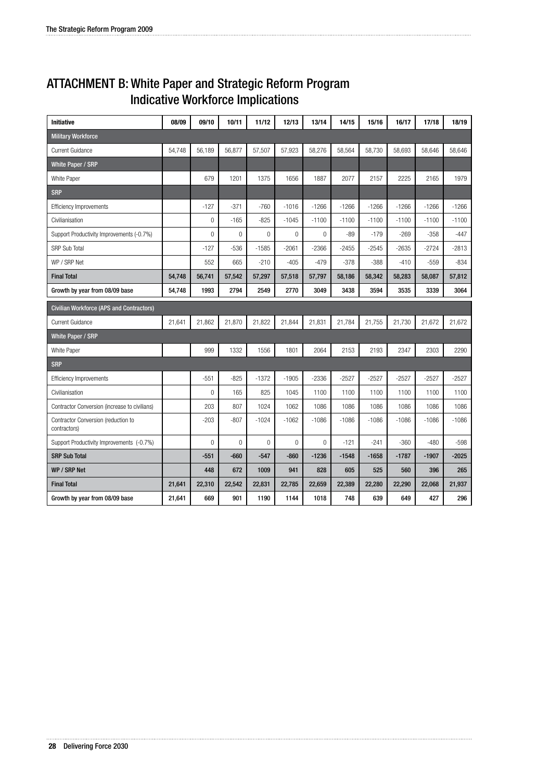### ATTACHMENT B: White Paper and Strategic Reform Program Indicative Workforce Implications

| <b>Initiative</b>                                   | 08/09  | 09/10  | 10/11       | 11/12       | 12/13       | 13/14        | 14/15   | 15/16   | 16/17   | 17/18   | 18/19   |
|-----------------------------------------------------|--------|--------|-------------|-------------|-------------|--------------|---------|---------|---------|---------|---------|
| <b>Military Workforce</b>                           |        |        |             |             |             |              |         |         |         |         |         |
| <b>Current Guidance</b>                             | 54.748 | 56.189 | 56.877      | 57,507      | 57,923      | 58,276       | 58,564  | 58,730  | 58,693  | 58.646  | 58,646  |
| White Paper / SRP                                   |        |        |             |             |             |              |         |         |         |         |         |
| White Paper                                         |        | 679    | 1201        | 1375        | 1656        | 1887         | 2077    | 2157    | 2225    | 2165    | 1979    |
| <b>SRP</b>                                          |        |        |             |             |             |              |         |         |         |         |         |
| <b>Efficiency Improvements</b>                      |        | $-127$ | $-371$      | $-760$      | $-1016$     | $-1266$      | $-1266$ | $-1266$ | $-1266$ | $-1266$ | $-1266$ |
| Civilianisation                                     |        | 0      | $-165$      | $-825$      | $-1045$     | $-1100$      | $-1100$ | $-1100$ | $-1100$ | $-1100$ | $-1100$ |
| Support Productivity Improvements (-0.7%)           |        | 0      | $\mathbf 0$ | 0           | $\mathbf 0$ | $\mathbf{0}$ | $-89$   | $-179$  | $-269$  | $-358$  | $-447$  |
| <b>SRP Sub Total</b>                                |        | $-127$ | $-536$      | $-1585$     | $-2061$     | $-2366$      | $-2455$ | $-2545$ | $-2635$ | $-2724$ | $-2813$ |
| WP / SRP Net                                        |        | 552    | 665         | $-210$      | $-405$      | $-479$       | $-378$  | $-388$  | $-410$  | $-559$  | $-834$  |
| <b>Final Total</b>                                  | 54,748 | 56,741 | 57,542      | 57,297      | 57,518      | 57,797       | 58,186  | 58,342  | 58,283  | 58,087  | 57,812  |
| Growth by year from 08/09 base                      | 54,748 | 1993   | 2794        | 2549        | 2770        | 3049         | 3438    | 3594    | 3535    | 3339    | 3064    |
| <b>Civilian Workforce (APS and Contractors)</b>     |        |        |             |             |             |              |         |         |         |         |         |
| Current Guidance                                    | 21.641 | 21.862 | 21.870      | 21.822      | 21,844      | 21.831       | 21.784  | 21.755  | 21.730  | 21.672  | 21,672  |
| White Paper / SRP                                   |        |        |             |             |             |              |         |         |         |         |         |
| White Paper                                         |        | 999    | 1332        | 1556        | 1801        | 2064         | 2153    | 2193    | 2347    | 2303    | 2290    |
| <b>SRP</b>                                          |        |        |             |             |             |              |         |         |         |         |         |
| <b>Efficiency Improvements</b>                      |        | $-551$ | $-825$      | $-1372$     | $-1905$     | $-2336$      | $-2527$ | $-2527$ | $-2527$ | $-2527$ | $-2527$ |
| Civilianisation                                     |        | 0      | 165         | 825         | 1045        | 1100         | 1100    | 1100    | 1100    | 1100    | 1100    |
| Contractor Conversion (increase to civilians)       |        | 203    | 807         | 1024        | 1062        | 1086         | 1086    | 1086    | 1086    | 1086    | 1086    |
| Contractor Conversion (reduction to<br>contractors) |        | $-203$ | $-807$      | $-1024$     | $-1062$     | $-1086$      | $-1086$ | $-1086$ | $-1086$ | $-1086$ | $-1086$ |
| Support Productivity Improvements (-0.7%)           |        | 0      | 0           | $\mathbf 0$ | $\mathbf 0$ | 0            | $-121$  | $-241$  | $-360$  | $-480$  | $-598$  |
| <b>SRP Sub Total</b>                                |        | $-551$ | $-660$      | $-547$      | $-860$      | $-1236$      | $-1548$ | $-1658$ | $-1787$ | $-1907$ | $-2025$ |
| WP / SRP Net                                        |        | 448    | 672         | 1009        | 941         | 828          | 605     | 525     | 560     | 396     | 265     |
| <b>Final Total</b>                                  | 21,641 | 22,310 | 22,542      | 22,831      | 22,785      | 22,659       | 22,389  | 22,280  | 22,290  | 22,068  | 21,937  |
| Growth by year from 08/09 base                      | 21,641 | 669    | 901         | 1190        | 1144        | 1018         | 748     | 639     | 649     | 427     | 296     |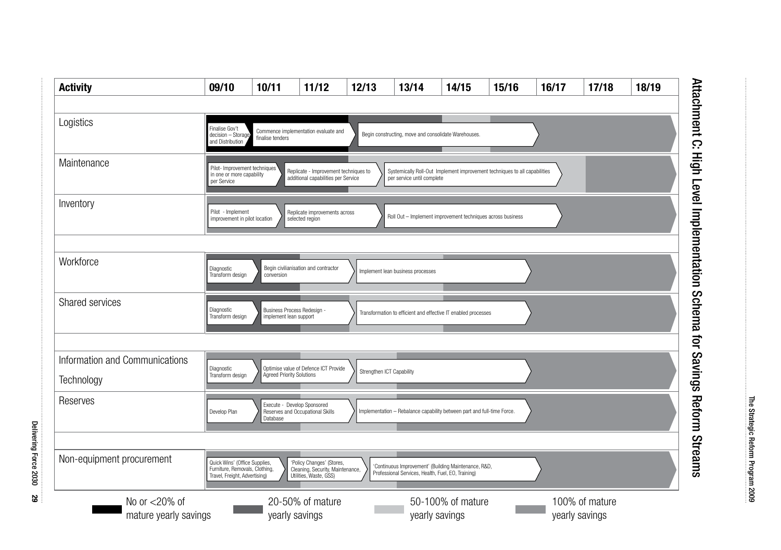

Delivering Force 2030Delivering Force 2030

**29**

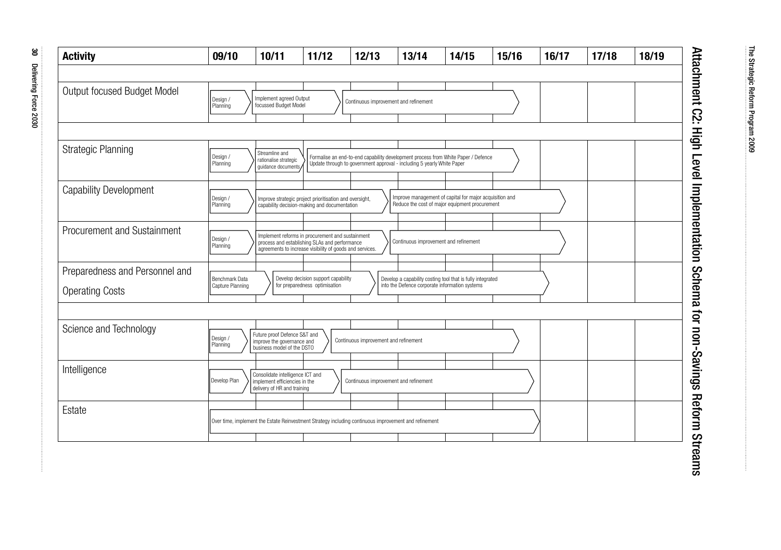| <b>Activity</b>                                          | 09/10                              | 10/11                                                                                            | 11/12                                                                                                                                                         | 12/13                                                                             | 13/14                                          | 14/15                                                                                                     | 15/16 | 16/17 | 17/18 | 18/19 |
|----------------------------------------------------------|------------------------------------|--------------------------------------------------------------------------------------------------|---------------------------------------------------------------------------------------------------------------------------------------------------------------|-----------------------------------------------------------------------------------|------------------------------------------------|-----------------------------------------------------------------------------------------------------------|-------|-------|-------|-------|
|                                                          |                                    |                                                                                                  |                                                                                                                                                               |                                                                                   |                                                |                                                                                                           |       |       |       |       |
| Output focused Budget Model                              | Design /<br>Planning               | Implement agreed Output<br>focussed Budget Model                                                 |                                                                                                                                                               | Continuous improvement and refinement                                             |                                                |                                                                                                           |       |       |       |       |
| <b>Strategic Planning</b>                                | Design /                           | Streamline and<br>rationalise strategic                                                          |                                                                                                                                                               | Formalise an end-to-end capability development process from White Paper / Defence |                                                |                                                                                                           |       |       |       |       |
|                                                          | Planning                           | quidance documents                                                                               |                                                                                                                                                               | Update through to government approval - including 5 yearly White Paper            |                                                |                                                                                                           |       |       |       |       |
| Capability Development                                   | Design /<br>Planning               |                                                                                                  | Improve strategic project prioritisation and oversight,<br>capability decision-making and documentation                                                       |                                                                                   |                                                | Improve management of capital for major acquisition and<br>Reduce the cost of major equipment procurement |       |       |       |       |
| Procurement and Sustainment                              | Design /<br>Planning               |                                                                                                  | Implement reforms in procurement and sustainment<br>process and establishing SLAs and performance<br>agreements to increase visibility of goods and services. |                                                                                   | Continuous improvement and refinement          |                                                                                                           |       |       |       |       |
| Preparedness and Personnel and<br><b>Operating Costs</b> | Benchmark Data<br>Capture Planning |                                                                                                  | Develop decision support capability<br>for preparedness optimisation                                                                                          |                                                                                   | into the Defence corporate information systems | Develop a capability costing tool that is fully integrated                                                |       |       |       |       |
|                                                          |                                    |                                                                                                  |                                                                                                                                                               |                                                                                   |                                                |                                                                                                           |       |       |       |       |
| Science and Technology                                   | Design /<br>Planning               | Future proof Defence S&T and<br>improve the governance and<br>business model of the DSTO         |                                                                                                                                                               | Continuous improvement and refinement                                             |                                                |                                                                                                           |       |       |       |       |
| Intelligence                                             | Develop Plan                       | Consolidate intelligence ICT and<br>implement efficiencies in the<br>delivery of HR and training |                                                                                                                                                               | Continuous improvement and refinement                                             |                                                |                                                                                                           |       |       |       |       |
| Estate                                                   |                                    |                                                                                                  | Over time, implement the Estate Reinvestment Strategy including continuous improvement and refinement                                                         |                                                                                   |                                                |                                                                                                           |       |       |       |       |
|                                                          |                                    |                                                                                                  |                                                                                                                                                               |                                                                                   |                                                |                                                                                                           |       |       |       |       |

# Attachment C2: High Level Implementation Schema for non-Savings Reform Streams Attachment C2: High Level Implementation Schema for non-Savings Reform Streams

The Strategic Reform Program 2009

The Strategic Reform Program 2009